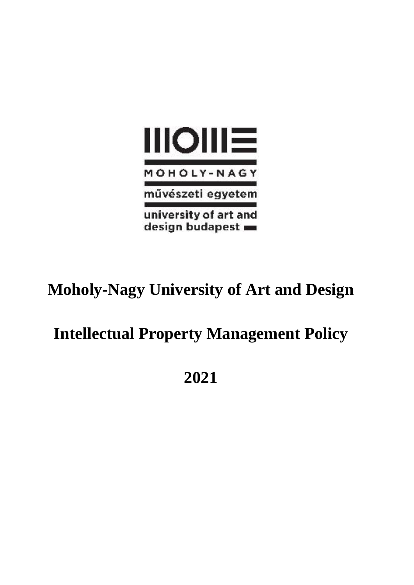

# **Moholy-Nagy University of Art and Design**

# **Intellectual Property Management Policy**

**2021**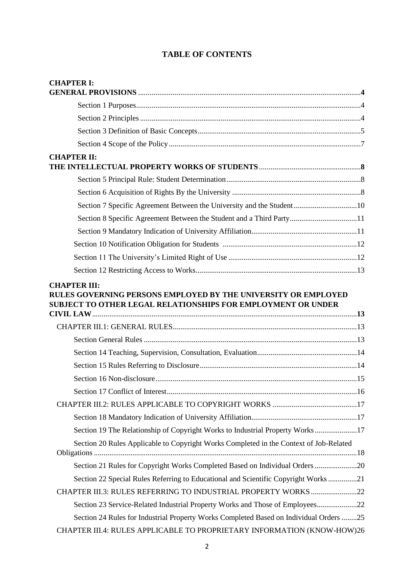# **TABLE OF CONTENTS**

| <b>CHAPTER I:</b>                                                                      |  |
|----------------------------------------------------------------------------------------|--|
|                                                                                        |  |
|                                                                                        |  |
|                                                                                        |  |
|                                                                                        |  |
| <b>CHAPTER II:</b>                                                                     |  |
|                                                                                        |  |
|                                                                                        |  |
|                                                                                        |  |
| Section 7 Specific Agreement Between the University and the Student10                  |  |
| Section 8 Specific Agreement Between the Student and a Third Party11                   |  |
|                                                                                        |  |
|                                                                                        |  |
|                                                                                        |  |
|                                                                                        |  |
| SUBJECT TO OTHER LEGAL RELATIONSHIPS FOR EMPLOYMENT OR UNDER                           |  |
|                                                                                        |  |
|                                                                                        |  |
|                                                                                        |  |
|                                                                                        |  |
|                                                                                        |  |
|                                                                                        |  |
|                                                                                        |  |
|                                                                                        |  |
| Section 19 The Relationship of Copyright Works to Industrial Property Works17          |  |
| Section 20 Rules Applicable to Copyright Works Completed in the Context of Job-Related |  |
| Section 21 Rules for Copyright Works Completed Based on Individual Orders 20           |  |
| Section 22 Special Rules Referring to Educational and Scientific Copyright Works21     |  |
| CHAPTER III.3: RULES REFERRING TO INDUSTRIAL PROPERTY WORKS22                          |  |
| Section 23 Service-Related Industrial Property Works and Those of Employees22          |  |
| Section 24 Rules for Industrial Property Works Completed Based on Individual Orders 25 |  |
| CHAPTER III.4: RULES APPLICABLE TO PROPRIETARY INFORMATION (KNOW-HOW)26                |  |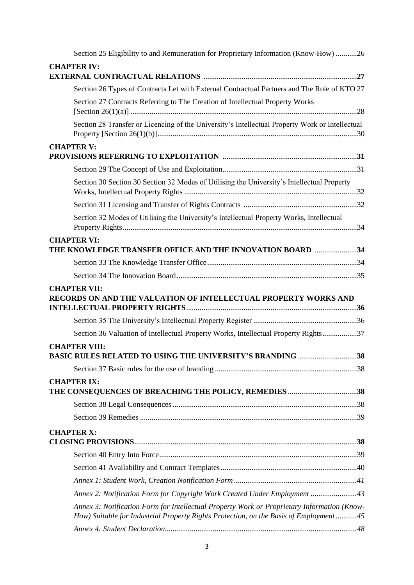| Section 25 Eligibility to and Remuneration for Proprietary Information (Know-How) 26                                                                                                  |
|---------------------------------------------------------------------------------------------------------------------------------------------------------------------------------------|
| <b>CHAPTER IV:</b>                                                                                                                                                                    |
|                                                                                                                                                                                       |
| Section 26 Types of Contracts Let with External Contractual Partners and The Role of KTO 27                                                                                           |
| Section 27 Contracts Referring to The Creation of Intellectual Property Works                                                                                                         |
| Section 28 Transfer or Licencing of the University's Intellectual Property Work or Intellectual                                                                                       |
| <b>CHAPTER V:</b>                                                                                                                                                                     |
|                                                                                                                                                                                       |
| Section 30 Section 30 Section 32 Modes of Utilising the University's Intellectual Property                                                                                            |
|                                                                                                                                                                                       |
| Section 32 Modes of Utilising the University's Intellectual Property Works, Intellectual                                                                                              |
| <b>CHAPTER VI:</b><br><b>THE KNOWLEDGE TRANSFER OFFICE AND THE INNOVATION BOARD 34</b>                                                                                                |
|                                                                                                                                                                                       |
|                                                                                                                                                                                       |
| <b>CHAPTER VII:</b><br>RECORDS ON AND THE VALUATION OF INTELLECTUAL PROPERTY WORKS AND                                                                                                |
|                                                                                                                                                                                       |
| Section 36 Valuation of Intellectual Property Works, Intellectual Property Rights37                                                                                                   |
| <b>CHAPTER VIII:</b><br><b>BASIC RULES RELATED TO USING THE UNIVERSITY'S BRANDING 38</b>                                                                                              |
|                                                                                                                                                                                       |
| <b>CHAPTER IX:</b><br><b>THE CONSEQUENCES OF BREACHING THE POLICY, REMEDIES 38</b>                                                                                                    |
|                                                                                                                                                                                       |
|                                                                                                                                                                                       |
| <b>CHAPTER X:</b>                                                                                                                                                                     |
|                                                                                                                                                                                       |
|                                                                                                                                                                                       |
|                                                                                                                                                                                       |
| Annex 2: Notification Form for Copyright Work Created Under Employment 43                                                                                                             |
| Annex 3: Notification Form for Intellectual Property Work or Proprietary Information (Know-<br>How) Suitable for Industrial Property Rights Protection, on the Basis of Employment 45 |
|                                                                                                                                                                                       |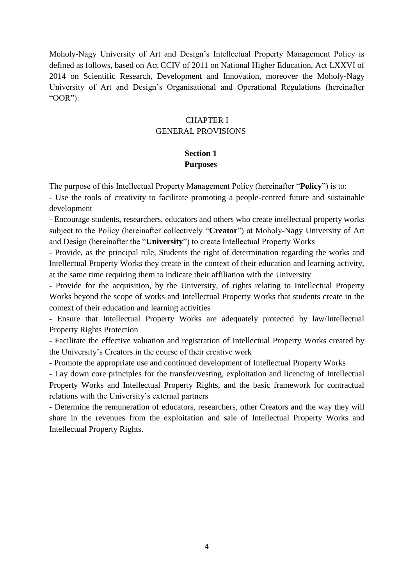Moholy-Nagy University of Art and Design's Intellectual Property Management Policy is defined as follows, based on Act CCIV of 2011 on National Higher Education, Act LXXVI of 2014 on Scientific Research, Development and Innovation, moreover the Moholy-Nagy University of Art and Design's Organisational and Operational Regulations (hereinafter "OOR"):

## CHAPTER I GENERAL PROVISIONS

#### **Section 1 Purposes**

The purpose of this Intellectual Property Management Policy (hereinafter "**Policy**") is to:

- Use the tools of creativity to facilitate promoting a people-centred future and sustainable development

- Encourage students, researchers, educators and others who create intellectual property works subject to the Policy (hereinafter collectively "**Creator**") at Moholy-Nagy University of Art and Design (hereinafter the "**University**") to create Intellectual Property Works

- Provide, as the principal rule, Students the right of determination regarding the works and Intellectual Property Works they create in the context of their education and learning activity, at the same time requiring them to indicate their affiliation with the University

- Provide for the acquisition, by the University, of rights relating to Intellectual Property Works beyond the scope of works and Intellectual Property Works that students create in the context of their education and learning activities

- Ensure that Intellectual Property Works are adequately protected by law/Intellectual Property Rights Protection

- Facilitate the effective valuation and registration of Intellectual Property Works created by the University's Creators in the course of their creative work

- Promote the appropriate use and continued development of Intellectual Property Works

- Lay down core principles for the transfer/vesting, exploitation and licencing of Intellectual Property Works and Intellectual Property Rights, and the basic framework for contractual relations with the University's external partners

- Determine the remuneration of educators, researchers, other Creators and the way they will share in the revenues from the exploitation and sale of Intellectual Property Works and Intellectual Property Rights.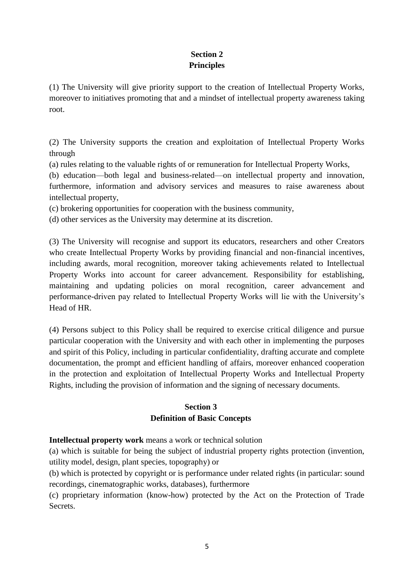# **Section 2 Principles**

(1) The University will give priority support to the creation of Intellectual Property Works, moreover to initiatives promoting that and a mindset of intellectual property awareness taking root.

(2) The University supports the creation and exploitation of Intellectual Property Works through

(a) rules relating to the valuable rights of or remuneration for Intellectual Property Works,

(b) education—both legal and business-related—on intellectual property and innovation, furthermore, information and advisory services and measures to raise awareness about intellectual property,

(c) brokering opportunities for cooperation with the business community,

(d) other services as the University may determine at its discretion.

(3) The University will recognise and support its educators, researchers and other Creators who create Intellectual Property Works by providing financial and non-financial incentives, including awards, moral recognition, moreover taking achievements related to Intellectual Property Works into account for career advancement. Responsibility for establishing, maintaining and updating policies on moral recognition, career advancement and performance-driven pay related to Intellectual Property Works will lie with the University's Head of HR.

(4) Persons subject to this Policy shall be required to exercise critical diligence and pursue particular cooperation with the University and with each other in implementing the purposes and spirit of this Policy, including in particular confidentiality, drafting accurate and complete documentation, the prompt and efficient handling of affairs, moreover enhanced cooperation in the protection and exploitation of Intellectual Property Works and Intellectual Property Rights, including the provision of information and the signing of necessary documents.

## **Section 3 Definition of Basic Concepts**

**Intellectual property work** means a work or technical solution

(a) which is suitable for being the subject of industrial property rights protection (invention, utility model, design, plant species, topography) or

(b) which is protected by copyright or is performance under related rights (in particular: sound recordings, cinematographic works, databases), furthermore

(c) proprietary information (know-how) protected by the Act on the Protection of Trade Secrets.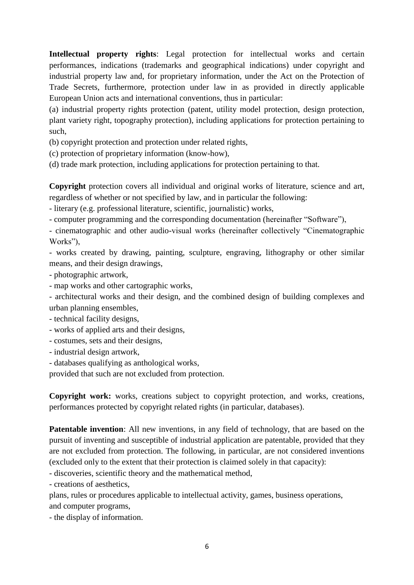**Intellectual property rights**: Legal protection for intellectual works and certain performances, indications (trademarks and geographical indications) under copyright and industrial property law and, for proprietary information, under the Act on the Protection of Trade Secrets, furthermore, protection under law in as provided in directly applicable European Union acts and international conventions, thus in particular:

(a) industrial property rights protection (patent, utility model protection, design protection, plant variety right, topography protection), including applications for protection pertaining to such,

(b) copyright protection and protection under related rights,

(c) protection of proprietary information (know-how),

(d) trade mark protection, including applications for protection pertaining to that.

**Copyright** protection covers all individual and original works of literature, science and art, regardless of whether or not specified by law, and in particular the following:

- literary (e.g. professional literature, scientific, journalistic) works,

- computer programming and the corresponding documentation (hereinafter "Software"),

- cinematographic and other audio-visual works (hereinafter collectively "Cinematographic Works"),

- works created by drawing, painting, sculpture, engraving, lithography or other similar means, and their design drawings,

- photographic artwork,

- map works and other cartographic works,

- architectural works and their design, and the combined design of building complexes and urban planning ensembles,

- technical facility designs,
- works of applied arts and their designs,
- costumes, sets and their designs,
- industrial design artwork,
- databases qualifying as anthological works,

provided that such are not excluded from protection.

**Copyright work:** works, creations subject to copyright protection, and works, creations, performances protected by copyright related rights (in particular, databases).

**Patentable invention**: All new inventions, in any field of technology, that are based on the pursuit of inventing and susceptible of industrial application are patentable, provided that they are not excluded from protection. The following, in particular, are not considered inventions (excluded only to the extent that their protection is claimed solely in that capacity):

- discoveries, scientific theory and the mathematical method,

- creations of aesthetics,

plans, rules or procedures applicable to intellectual activity, games, business operations, and computer programs,

- the display of information.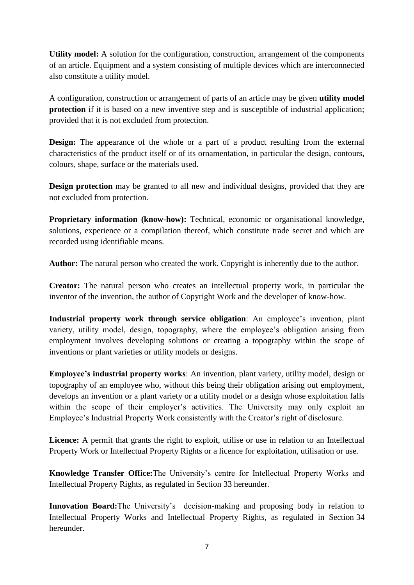**Utility model:** A solution for the configuration, construction, arrangement of the components of an article. Equipment and a system consisting of multiple devices which are interconnected also constitute a utility model.

A configuration, construction or arrangement of parts of an article may be given **utility model protection** if it is based on a new inventive step and is susceptible of industrial application; provided that it is not excluded from protection.

**Design:** The appearance of the whole or a part of a product resulting from the external characteristics of the product itself or of its ornamentation, in particular the design, contours, colours, shape, surface or the materials used.

**Design protection** may be granted to all new and individual designs, provided that they are not excluded from protection.

**Proprietary information (know-how):** Technical, economic or organisational knowledge, solutions, experience or a compilation thereof, which constitute trade secret and which are recorded using identifiable means.

**Author:** The natural person who created the work. Copyright is inherently due to the author.

**Creator:** The natural person who creates an intellectual property work, in particular the inventor of the invention, the author of Copyright Work and the developer of know-how.

**Industrial property work through service obligation**: An employee's invention, plant variety, utility model, design, topography, where the employee's obligation arising from employment involves developing solutions or creating a topography within the scope of inventions or plant varieties or utility models or designs.

**Employee's industrial property works**: An invention, plant variety, utility model, design or topography of an employee who, without this being their obligation arising out employment, develops an invention or a plant variety or a utility model or a design whose exploitation falls within the scope of their employer's activities. The University may only exploit an Employee's Industrial Property Work consistently with the Creator's right of disclosure.

Licence: A permit that grants the right to exploit, utilise or use in relation to an Intellectual Property Work or Intellectual Property Rights or a licence for exploitation, utilisation or use.

**Knowledge Transfer Office:**The University's centre for Intellectual Property Works and Intellectual Property Rights, as regulated in Section 33 hereunder.

**Innovation Board:**The University's decision-making and proposing body in relation to Intellectual Property Works and Intellectual Property Rights, as regulated in Section 34 hereunder.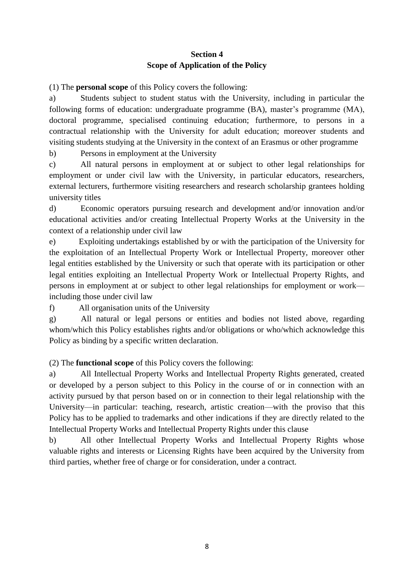# **Section 4 Scope of Application of the Policy**

(1) The **personal scope** of this Policy covers the following:

a) Students subject to student status with the University, including in particular the following forms of education: undergraduate programme (BA), master's programme (MA), doctoral programme, specialised continuing education; furthermore, to persons in a contractual relationship with the University for adult education; moreover students and visiting students studying at the University in the context of an Erasmus or other programme

b) Persons in employment at the University

c) All natural persons in employment at or subject to other legal relationships for employment or under civil law with the University, in particular educators, researchers, external lecturers, furthermore visiting researchers and research scholarship grantees holding university titles

d) Economic operators pursuing research and development and/or innovation and/or educational activities and/or creating Intellectual Property Works at the University in the context of a relationship under civil law

e) Exploiting undertakings established by or with the participation of the University for the exploitation of an Intellectual Property Work or Intellectual Property, moreover other legal entities established by the University or such that operate with its participation or other legal entities exploiting an Intellectual Property Work or Intellectual Property Rights, and persons in employment at or subject to other legal relationships for employment or work including those under civil law

f) All organisation units of the University

g) All natural or legal persons or entities and bodies not listed above, regarding whom/which this Policy establishes rights and/or obligations or who/which acknowledge this Policy as binding by a specific written declaration.

(2) The **functional scope** of this Policy covers the following:

a) All Intellectual Property Works and Intellectual Property Rights generated, created or developed by a person subject to this Policy in the course of or in connection with an activity pursued by that person based on or in connection to their legal relationship with the University—in particular: teaching, research, artistic creation—with the proviso that this Policy has to be applied to trademarks and other indications if they are directly related to the Intellectual Property Works and Intellectual Property Rights under this clause

b) All other Intellectual Property Works and Intellectual Property Rights whose valuable rights and interests or Licensing Rights have been acquired by the University from third parties, whether free of charge or for consideration, under a contract.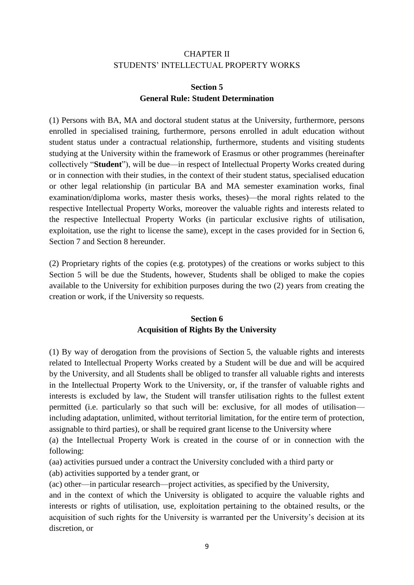## CHAPTER II STUDENTS' INTELLECTUAL PROPERTY WORKS

## **Section 5 General Rule: Student Determination**

(1) Persons with BA, MA and doctoral student status at the University, furthermore, persons enrolled in specialised training, furthermore, persons enrolled in adult education without student status under a contractual relationship, furthermore, students and visiting students studying at the University within the framework of Erasmus or other programmes (hereinafter collectively "**Student**"), will be due—in respect of Intellectual Property Works created during or in connection with their studies, in the context of their student status, specialised education or other legal relationship (in particular BA and MA semester examination works, final examination/diploma works, master thesis works, theses)—the moral rights related to the respective Intellectual Property Works, moreover the valuable rights and interests related to the respective Intellectual Property Works (in particular exclusive rights of utilisation, exploitation, use the right to license the same), except in the cases provided for in Section 6, Section 7 and Section 8 hereunder.

(2) Proprietary rights of the copies (e.g. prototypes) of the creations or works subject to this Section 5 will be due the Students, however, Students shall be obliged to make the copies available to the University for exhibition purposes during the two (2) years from creating the creation or work, if the University so requests.

## **Section 6 Acquisition of Rights By the University**

(1) By way of derogation from the provisions of Section 5, the valuable rights and interests related to Intellectual Property Works created by a Student will be due and will be acquired by the University, and all Students shall be obliged to transfer all valuable rights and interests in the Intellectual Property Work to the University, or, if the transfer of valuable rights and interests is excluded by law, the Student will transfer utilisation rights to the fullest extent permitted (i.e. particularly so that such will be: exclusive, for all modes of utilisation including adaptation, unlimited, without territorial limitation, for the entire term of protection, assignable to third parties), or shall be required grant license to the University where

(a) the Intellectual Property Work is created in the course of or in connection with the following:

(aa) activities pursued under a contract the University concluded with a third party or (ab) activities supported by a tender grant, or

(ac) other—in particular research—project activities, as specified by the University,

and in the context of which the University is obligated to acquire the valuable rights and interests or rights of utilisation, use, exploitation pertaining to the obtained results, or the acquisition of such rights for the University is warranted per the University's decision at its discretion, or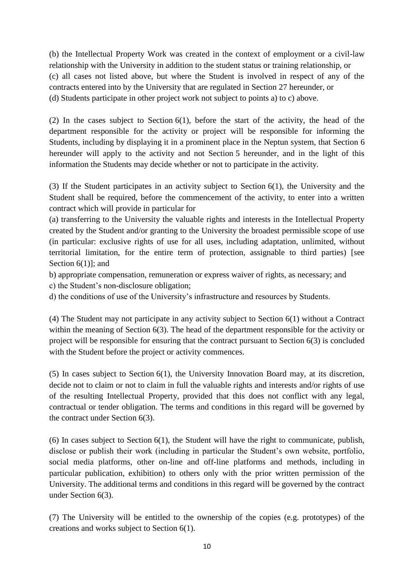(b) the Intellectual Property Work was created in the context of employment or a civil-law relationship with the University in addition to the student status or training relationship, or (c) all cases not listed above, but where the Student is involved in respect of any of the contracts entered into by the University that are regulated in Section 27 hereunder, or (d) Students participate in other project work not subject to points a) to c) above.

(2) In the cases subject to Section 6(1), before the start of the activity, the head of the department responsible for the activity or project will be responsible for informing the Students, including by displaying it in a prominent place in the Neptun system, that Section 6 hereunder will apply to the activity and not Section 5 hereunder, and in the light of this information the Students may decide whether or not to participate in the activity.

(3) If the Student participates in an activity subject to Section 6(1), the University and the Student shall be required, before the commencement of the activity, to enter into a written contract which will provide in particular for

(a) transferring to the University the valuable rights and interests in the Intellectual Property created by the Student and/or granting to the University the broadest permissible scope of use (in particular: exclusive rights of use for all uses, including adaptation, unlimited, without territorial limitation, for the entire term of protection, assignable to third parties) [see Section 6(1)]; and

b) appropriate compensation, remuneration or express waiver of rights, as necessary; and

c) the Student's non-disclosure obligation;

d) the conditions of use of the University's infrastructure and resources by Students.

(4) The Student may not participate in any activity subject to Section 6(1) without a Contract within the meaning of Section 6(3). The head of the department responsible for the activity or project will be responsible for ensuring that the contract pursuant to Section 6(3) is concluded with the Student before the project or activity commences.

(5) In cases subject to Section 6(1), the University Innovation Board may, at its discretion, decide not to claim or not to claim in full the valuable rights and interests and/or rights of use of the resulting Intellectual Property, provided that this does not conflict with any legal, contractual or tender obligation. The terms and conditions in this regard will be governed by the contract under Section 6(3).

(6) In cases subject to Section 6(1), the Student will have the right to communicate, publish, disclose or publish their work (including in particular the Student's own website, portfolio, social media platforms, other on-line and off-line platforms and methods, including in particular publication, exhibition) to others only with the prior written permission of the University. The additional terms and conditions in this regard will be governed by the contract under Section 6(3).

(7) The University will be entitled to the ownership of the copies (e.g. prototypes) of the creations and works subject to Section 6(1).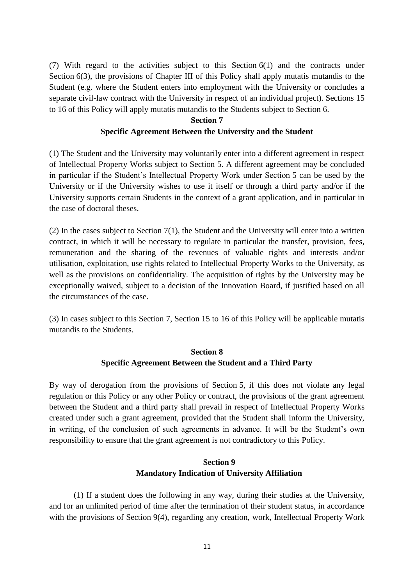(7) With regard to the activities subject to this Section 6(1) and the contracts under Section 6(3), the provisions of Chapter III of this Policy shall apply mutatis mutandis to the Student (e.g. where the Student enters into employment with the University or concludes a separate civil-law contract with the University in respect of an individual project). Sections 15 to 16 of this Policy will apply mutatis mutandis to the Students subject to Section 6.

## **Section 7 Specific Agreement Between the University and the Student**

(1) The Student and the University may voluntarily enter into a different agreement in respect of Intellectual Property Works subject to Section 5. A different agreement may be concluded in particular if the Student's Intellectual Property Work under Section 5 can be used by the University or if the University wishes to use it itself or through a third party and/or if the University supports certain Students in the context of a grant application, and in particular in the case of doctoral theses.

(2) In the cases subject to Section 7(1), the Student and the University will enter into a written contract, in which it will be necessary to regulate in particular the transfer, provision, fees, remuneration and the sharing of the revenues of valuable rights and interests and/or utilisation, exploitation, use rights related to Intellectual Property Works to the University, as well as the provisions on confidentiality. The acquisition of rights by the University may be exceptionally waived, subject to a decision of the Innovation Board, if justified based on all the circumstances of the case.

(3) In cases subject to this Section 7, Section 15 to 16 of this Policy will be applicable mutatis mutandis to the Students.

## **Section 8 Specific Agreement Between the Student and a Third Party**

By way of derogation from the provisions of Section 5, if this does not violate any legal regulation or this Policy or any other Policy or contract, the provisions of the grant agreement between the Student and a third party shall prevail in respect of Intellectual Property Works created under such a grant agreement, provided that the Student shall inform the University, in writing, of the conclusion of such agreements in advance. It will be the Student's own responsibility to ensure that the grant agreement is not contradictory to this Policy.

# **Section 9 Mandatory Indication of University Affiliation**

(1) If a student does the following in any way, during their studies at the University, and for an unlimited period of time after the termination of their student status, in accordance with the provisions of Section 9(4), regarding any creation, work, Intellectual Property Work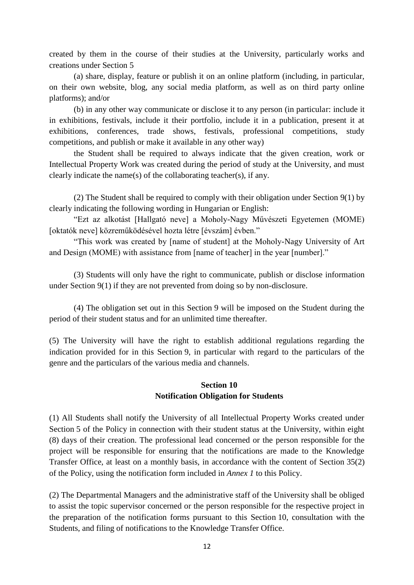created by them in the course of their studies at the University, particularly works and creations under Section 5

(a) share, display, feature or publish it on an online platform (including, in particular, on their own website, blog, any social media platform, as well as on third party online platforms); and/or

(b) in any other way communicate or disclose it to any person (in particular: include it in exhibitions, festivals, include it their portfolio, include it in a publication, present it at exhibitions, conferences, trade shows, festivals, professional competitions, study competitions, and publish or make it available in any other way)

the Student shall be required to always indicate that the given creation, work or Intellectual Property Work was created during the period of study at the University, and must clearly indicate the name(s) of the collaborating teacher(s), if any.

(2) The Student shall be required to comply with their obligation under Section 9(1) by clearly indicating the following wording in Hungarian or English:

"Ezt az alkotást [Hallgató neve] a Moholy-Nagy Művészeti Egyetemen (MOME) [oktatók neve] közreműködésével hozta létre [évszám] évben."

"This work was created by [name of student] at the Moholy-Nagy University of Art and Design (MOME) with assistance from [name of teacher] in the year [number]."

(3) Students will only have the right to communicate, publish or disclose information under Section 9(1) if they are not prevented from doing so by non-disclosure.

(4) The obligation set out in this Section 9 will be imposed on the Student during the period of their student status and for an unlimited time thereafter.

(5) The University will have the right to establish additional regulations regarding the indication provided for in this Section 9, in particular with regard to the particulars of the genre and the particulars of the various media and channels.

## **Section 10 Notification Obligation for Students**

(1) All Students shall notify the University of all Intellectual Property Works created under Section 5 of the Policy in connection with their student status at the University, within eight (8) days of their creation. The professional lead concerned or the person responsible for the project will be responsible for ensuring that the notifications are made to the Knowledge Transfer Office, at least on a monthly basis, in accordance with the content of Section 35(2) of the Policy, using the notification form included in *Annex 1* to this Policy.

(2) The Departmental Managers and the administrative staff of the University shall be obliged to assist the topic supervisor concerned or the person responsible for the respective project in the preparation of the notification forms pursuant to this Section 10, consultation with the Students, and filing of notifications to the Knowledge Transfer Office.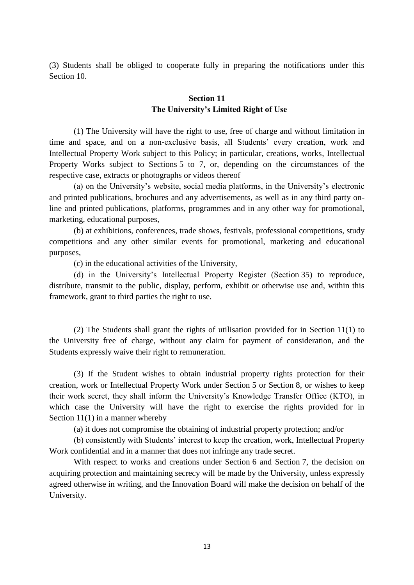(3) Students shall be obliged to cooperate fully in preparing the notifications under this Section 10.

#### **Section 11 The University's Limited Right of Use**

(1) The University will have the right to use, free of charge and without limitation in time and space, and on a non-exclusive basis, all Students' every creation, work and Intellectual Property Work subject to this Policy; in particular, creations, works, Intellectual Property Works subject to Sections 5 to 7, or, depending on the circumstances of the respective case, extracts or photographs or videos thereof

(a) on the University's website, social media platforms, in the University's electronic and printed publications, brochures and any advertisements, as well as in any third party online and printed publications, platforms, programmes and in any other way for promotional, marketing, educational purposes,

(b) at exhibitions, conferences, trade shows, festivals, professional competitions, study competitions and any other similar events for promotional, marketing and educational purposes,

(c) in the educational activities of the University,

(d) in the University's Intellectual Property Register (Section 35) to reproduce, distribute, transmit to the public, display, perform, exhibit or otherwise use and, within this framework, grant to third parties the right to use.

(2) The Students shall grant the rights of utilisation provided for in Section 11(1) to the University free of charge, without any claim for payment of consideration, and the Students expressly waive their right to remuneration.

(3) If the Student wishes to obtain industrial property rights protection for their creation, work or Intellectual Property Work under Section 5 or Section 8, or wishes to keep their work secret, they shall inform the University's Knowledge Transfer Office (KTO), in which case the University will have the right to exercise the rights provided for in Section 11(1) in a manner whereby

(a) it does not compromise the obtaining of industrial property protection; and/or

(b) consistently with Students' interest to keep the creation, work, Intellectual Property Work confidential and in a manner that does not infringe any trade secret.

With respect to works and creations under Section 6 and Section 7, the decision on acquiring protection and maintaining secrecy will be made by the University, unless expressly agreed otherwise in writing, and the Innovation Board will make the decision on behalf of the University.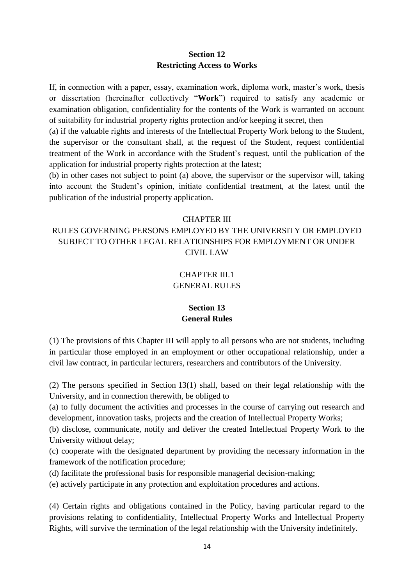#### **Section 12 Restricting Access to Works**

If, in connection with a paper, essay, examination work, diploma work, master's work, thesis or dissertation (hereinafter collectively "**Work**") required to satisfy any academic or examination obligation, confidentiality for the contents of the Work is warranted on account of suitability for industrial property rights protection and/or keeping it secret, then

(a) if the valuable rights and interests of the Intellectual Property Work belong to the Student, the supervisor or the consultant shall, at the request of the Student, request confidential treatment of the Work in accordance with the Student's request, until the publication of the application for industrial property rights protection at the latest;

(b) in other cases not subject to point (a) above, the supervisor or the supervisor will, taking into account the Student's opinion, initiate confidential treatment, at the latest until the publication of the industrial property application.

#### CHAPTER III

# RULES GOVERNING PERSONS EMPLOYED BY THE UNIVERSITY OR EMPLOYED SUBJECT TO OTHER LEGAL RELATIONSHIPS FOR EMPLOYMENT OR UNDER CIVIL LAW

# CHAPTER III.1 GENERAL RULES

## **Section 13 General Rules**

(1) The provisions of this Chapter III will apply to all persons who are not students, including in particular those employed in an employment or other occupational relationship, under a civil law contract, in particular lecturers, researchers and contributors of the University.

(2) The persons specified in Section 13(1) shall, based on their legal relationship with the University, and in connection therewith, be obliged to

(a) to fully document the activities and processes in the course of carrying out research and development, innovation tasks, projects and the creation of Intellectual Property Works;

(b) disclose, communicate, notify and deliver the created Intellectual Property Work to the University without delay;

(c) cooperate with the designated department by providing the necessary information in the framework of the notification procedure;

(d) facilitate the professional basis for responsible managerial decision-making;

(e) actively participate in any protection and exploitation procedures and actions.

(4) Certain rights and obligations contained in the Policy, having particular regard to the provisions relating to confidentiality, Intellectual Property Works and Intellectual Property Rights, will survive the termination of the legal relationship with the University indefinitely.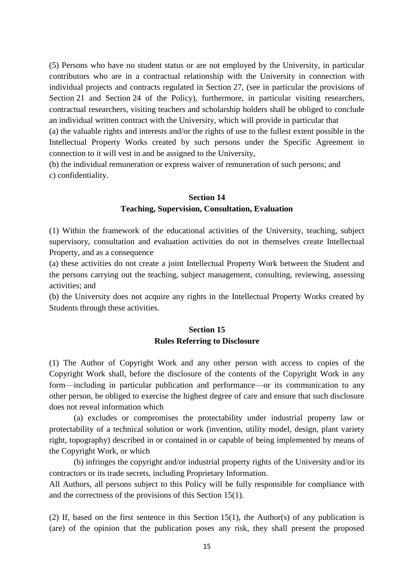(5) Persons who have no student status or are not employed by the University, in particular contributors who are in a contractual relationship with the University in connection with individual projects and contracts regulated in Section 27, (see in particular the provisions of Section 21 and Section 24 of the Policy), furthermore, in particular visiting researchers, contractual researchers, visiting teachers and scholarship holders shall be obliged to conclude an individual written contract with the University, which will provide in particular that

(a) the valuable rights and interests and/or the rights of use to the fullest extent possible in the Intellectual Property Works created by such persons under the Specific Agreement in connection to it will vest in and be assigned to the University,

(b) the individual remuneration or express waiver of remuneration of such persons; and c) confidentiality.

#### **Section 14 Teaching, Supervision, Consultation, Evaluation**

(1) Within the framework of the educational activities of the University, teaching, subject supervisory, consultation and evaluation activities do not in themselves create Intellectual Property, and as a consequence

(a) these activities do not create a joint Intellectual Property Work between the Student and the persons carrying out the teaching, subject management, consulting, reviewing, assessing activities; and

(b) the University does not acquire any rights in the Intellectual Property Works created by Students through these activities.

## **Section 15 Rules Referring to Disclosure**

(1) The Author of Copyright Work and any other person with access to copies of the Copyright Work shall, before the disclosure of the contents of the Copyright Work in any form—including in particular publication and performance—or its communication to any other person, be obliged to exercise the highest degree of care and ensure that such disclosure does not reveal information which

(a) excludes or compromises the protectability under industrial property law or protectability of a technical solution or work (invention, utility model, design, plant variety right, topography) described in or contained in or capable of being implemented by means of the Copyright Work, or which

(b) infringes the copyright and/or industrial property rights of the University and/or its contractors or its trade secrets, including Proprietary Information.

All Authors, all persons subject to this Policy will be fully responsible for compliance with and the correctness of the provisions of this Section 15(1).

(2) If, based on the first sentence in this Section 15(1), the Author(s) of any publication is (are) of the opinion that the publication poses any risk, they shall present the proposed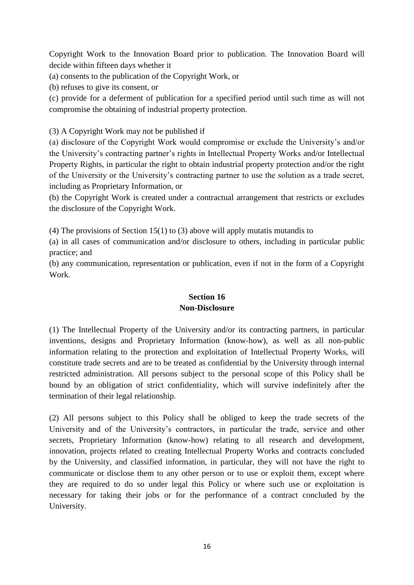Copyright Work to the Innovation Board prior to publication. The Innovation Board will decide within fifteen days whether it

(a) consents to the publication of the Copyright Work, or

(b) refuses to give its consent, or

(c) provide for a deferment of publication for a specified period until such time as will not compromise the obtaining of industrial property protection.

(3) A Copyright Work may not be published if

(a) disclosure of the Copyright Work would compromise or exclude the University's and/or the University's contracting partner's rights in Intellectual Property Works and/or Intellectual Property Rights, in particular the right to obtain industrial property protection and/or the right of the University or the University's contracting partner to use the solution as a trade secret, including as Proprietary Information, or

(b) the Copyright Work is created under a contractual arrangement that restricts or excludes the disclosure of the Copyright Work.

(4) The provisions of Section 15(1) to (3) above will apply mutatis mutandis to

(a) in all cases of communication and/or disclosure to others, including in particular public practice; and

(b) any communication, representation or publication, even if not in the form of a Copyright Work.

## **Section 16 Non-Disclosure**

(1) The Intellectual Property of the University and/or its contracting partners, in particular inventions, designs and Proprietary Information (know-how), as well as all non-public information relating to the protection and exploitation of Intellectual Property Works, will constitute trade secrets and are to be treated as confidential by the University through internal restricted administration. All persons subject to the personal scope of this Policy shall be bound by an obligation of strict confidentiality, which will survive indefinitely after the termination of their legal relationship.

(2) All persons subject to this Policy shall be obliged to keep the trade secrets of the University and of the University's contractors, in particular the trade, service and other secrets, Proprietary Information (know-how) relating to all research and development, innovation, projects related to creating Intellectual Property Works and contracts concluded by the University, and classified information, in particular, they will not have the right to communicate or disclose them to any other person or to use or exploit them, except where they are required to do so under legal this Policy or where such use or exploitation is necessary for taking their jobs or for the performance of a contract concluded by the University.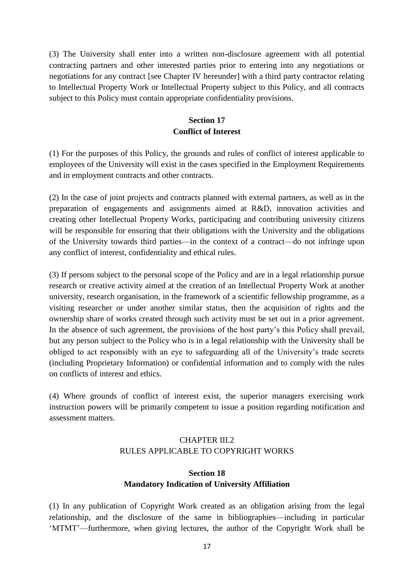(3) The University shall enter into a written non-disclosure agreement with all potential contracting partners and other interested parties prior to entering into any negotiations or negotiations for any contract [see Chapter IV hereunder] with a third party contractor relating to Intellectual Property Work or Intellectual Property subject to this Policy, and all contracts subject to this Policy must contain appropriate confidentiality provisions.

# **Section 17 Conflict of Interest**

(1) For the purposes of this Policy, the grounds and rules of conflict of interest applicable to employees of the University will exist in the cases specified in the Employment Requirements and in employment contracts and other contracts.

(2) In the case of joint projects and contracts planned with external partners, as well as in the preparation of engagements and assignments aimed at R&D, innovation activities and creating other Intellectual Property Works, participating and contributing university citizens will be responsible for ensuring that their obligations with the University and the obligations of the University towards third parties—in the context of a contract—do not infringe upon any conflict of interest, confidentiality and ethical rules.

(3) If persons subject to the personal scope of the Policy and are in a legal relationship pursue research or creative activity aimed at the creation of an Intellectual Property Work at another university, research organisation, in the framework of a scientific fellowship programme, as a visiting researcher or under another similar status, then the acquisition of rights and the ownership share of works created through such activity must be set out in a prior agreement. In the absence of such agreement, the provisions of the host party's this Policy shall prevail, but any person subject to the Policy who is in a legal relationship with the University shall be obliged to act responsibly with an eye to safeguarding all of the University's trade secrets (including Proprietary Information) or confidential information and to comply with the rules on conflicts of interest and ethics.

(4) Where grounds of conflict of interest exist, the superior managers exercising work instruction powers will be primarily competent to issue a position regarding notification and assessment matters.

# CHAPTER III.2 RULES APPLICABLE TO COPYRIGHT WORKS

# **Section 18 Mandatory Indication of University Affiliation**

(1) In any publication of Copyright Work created as an obligation arising from the legal relationship, and the disclosure of the same in bibliographies—including in particular 'MTMT'—furthermore, when giving lectures, the author of the Copyright Work shall be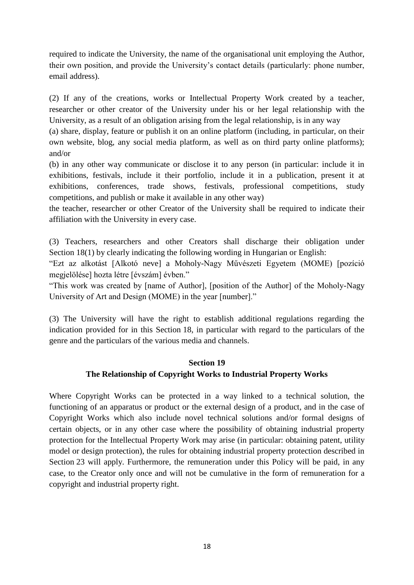required to indicate the University, the name of the organisational unit employing the Author, their own position, and provide the University's contact details (particularly: phone number, email address).

(2) If any of the creations, works or Intellectual Property Work created by a teacher, researcher or other creator of the University under his or her legal relationship with the University, as a result of an obligation arising from the legal relationship, is in any way

(a) share, display, feature or publish it on an online platform (including, in particular, on their own website, blog, any social media platform, as well as on third party online platforms); and/or

(b) in any other way communicate or disclose it to any person (in particular: include it in exhibitions, festivals, include it their portfolio, include it in a publication, present it at exhibitions, conferences, trade shows, festivals, professional competitions, study competitions, and publish or make it available in any other way)

the teacher, researcher or other Creator of the University shall be required to indicate their affiliation with the University in every case.

(3) Teachers, researchers and other Creators shall discharge their obligation under Section 18(1) by clearly indicating the following wording in Hungarian or English:

"Ezt az alkotást [Alkotó neve] a Moholy-Nagy Művészeti Egyetem (MOME) [pozíció megjelölése] hozta létre [évszám] évben."

"This work was created by [name of Author], [position of the Author] of the Moholy-Nagy University of Art and Design (MOME) in the year [number]."

(3) The University will have the right to establish additional regulations regarding the indication provided for in this Section 18, in particular with regard to the particulars of the genre and the particulars of the various media and channels.

## **Section 19 The Relationship of Copyright Works to Industrial Property Works**

Where Copyright Works can be protected in a way linked to a technical solution, the functioning of an apparatus or product or the external design of a product, and in the case of Copyright Works which also include novel technical solutions and/or formal designs of certain objects, or in any other case where the possibility of obtaining industrial property protection for the Intellectual Property Work may arise (in particular: obtaining patent, utility model or design protection), the rules for obtaining industrial property protection described in Section 23 will apply. Furthermore, the remuneration under this Policy will be paid, in any case, to the Creator only once and will not be cumulative in the form of remuneration for a copyright and industrial property right.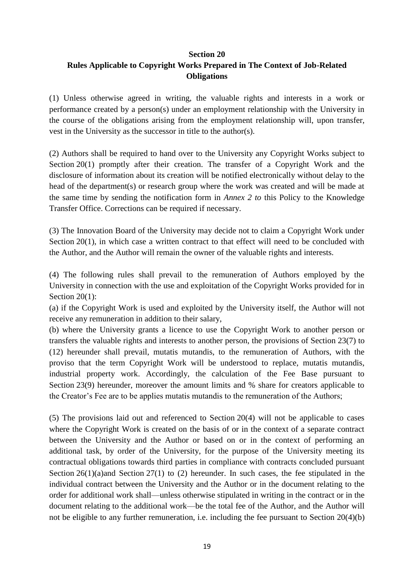#### **Section 20**

# **Rules Applicable to Copyright Works Prepared in The Context of Job-Related Obligations**

(1) Unless otherwise agreed in writing, the valuable rights and interests in a work or performance created by a person(s) under an employment relationship with the University in the course of the obligations arising from the employment relationship will, upon transfer, vest in the University as the successor in title to the author(s).

(2) Authors shall be required to hand over to the University any Copyright Works subject to Section 20(1) promptly after their creation. The transfer of a Copyright Work and the disclosure of information about its creation will be notified electronically without delay to the head of the department(s) or research group where the work was created and will be made at the same time by sending the notification form in *Annex 2 to* this Policy to the Knowledge Transfer Office. Corrections can be required if necessary.

(3) The Innovation Board of the University may decide not to claim a Copyright Work under Section  $20(1)$ , in which case a written contract to that effect will need to be concluded with the Author, and the Author will remain the owner of the valuable rights and interests.

(4) The following rules shall prevail to the remuneration of Authors employed by the University in connection with the use and exploitation of the Copyright Works provided for in Section 20(1):

(a) if the Copyright Work is used and exploited by the University itself, the Author will not receive any remuneration in addition to their salary,

(b) where the University grants a licence to use the Copyright Work to another person or transfers the valuable rights and interests to another person, the provisions of Section 23(7) to (12) hereunder shall prevail, mutatis mutandis, to the remuneration of Authors, with the proviso that the term Copyright Work will be understood to replace, mutatis mutandis, industrial property work. Accordingly, the calculation of the Fee Base pursuant to Section 23(9) hereunder, moreover the amount limits and % share for creators applicable to the Creator's Fee are to be applies mutatis mutandis to the remuneration of the Authors;

(5) The provisions laid out and referenced to Section 20(4) will not be applicable to cases where the Copyright Work is created on the basis of or in the context of a separate contract between the University and the Author or based on or in the context of performing an additional task, by order of the University, for the purpose of the University meeting its contractual obligations towards third parties in compliance with contracts concluded pursuant Section  $26(1)(a)$  and Section  $27(1)$  to (2) hereunder. In such cases, the fee stipulated in the individual contract between the University and the Author or in the document relating to the order for additional work shall—unless otherwise stipulated in writing in the contract or in the document relating to the additional work—be the total fee of the Author, and the Author will not be eligible to any further remuneration, i.e. including the fee pursuant to Section 20(4)(b)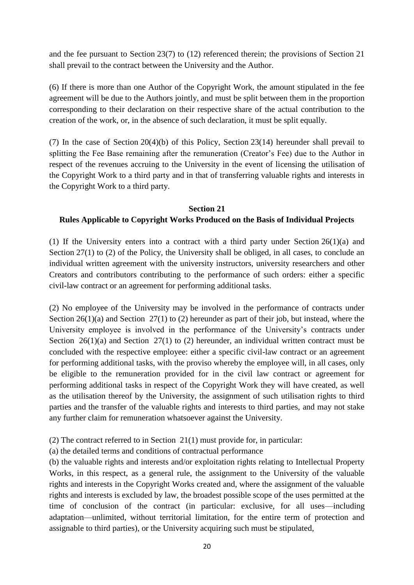and the fee pursuant to Section 23(7) to (12) referenced therein; the provisions of Section 21 shall prevail to the contract between the University and the Author.

(6) If there is more than one Author of the Copyright Work, the amount stipulated in the fee agreement will be due to the Authors jointly, and must be split between them in the proportion corresponding to their declaration on their respective share of the actual contribution to the creation of the work, or, in the absence of such declaration, it must be split equally.

(7) In the case of Section 20(4)(b) of this Policy, Section 23(14) hereunder shall prevail to splitting the Fee Base remaining after the remuneration (Creator's Fee) due to the Author in respect of the revenues accruing to the University in the event of licensing the utilisation of the Copyright Work to a third party and in that of transferring valuable rights and interests in the Copyright Work to a third party.

#### **Section 21**

## **Rules Applicable to Copyright Works Produced on the Basis of Individual Projects**

(1) If the University enters into a contract with a third party under Section 26(1)(a) and Section 27(1) to (2) of the Policy, the University shall be obliged, in all cases, to conclude an individual written agreement with the university instructors, university researchers and other Creators and contributors contributing to the performance of such orders: either a specific civil-law contract or an agreement for performing additional tasks.

(2) No employee of the University may be involved in the performance of contracts under Section 26(1)(a) and Section 27(1) to (2) hereunder as part of their job, but instead, where the University employee is involved in the performance of the University's contracts under Section  $26(1)(a)$  and Section  $27(1)$  to (2) hereunder, an individual written contract must be concluded with the respective employee: either a specific civil-law contract or an agreement for performing additional tasks, with the proviso whereby the employee will, in all cases, only be eligible to the remuneration provided for in the civil law contract or agreement for performing additional tasks in respect of the Copyright Work they will have created, as well as the utilisation thereof by the University, the assignment of such utilisation rights to third parties and the transfer of the valuable rights and interests to third parties, and may not stake any further claim for remuneration whatsoever against the University.

(2) The contract referred to in Section 21(1) must provide for, in particular:

(a) the detailed terms and conditions of contractual performance

(b) the valuable rights and interests and/or exploitation rights relating to Intellectual Property Works, in this respect, as a general rule, the assignment to the University of the valuable rights and interests in the Copyright Works created and, where the assignment of the valuable rights and interests is excluded by law, the broadest possible scope of the uses permitted at the time of conclusion of the contract (in particular: exclusive, for all uses—including adaptation—unlimited, without territorial limitation, for the entire term of protection and assignable to third parties), or the University acquiring such must be stipulated,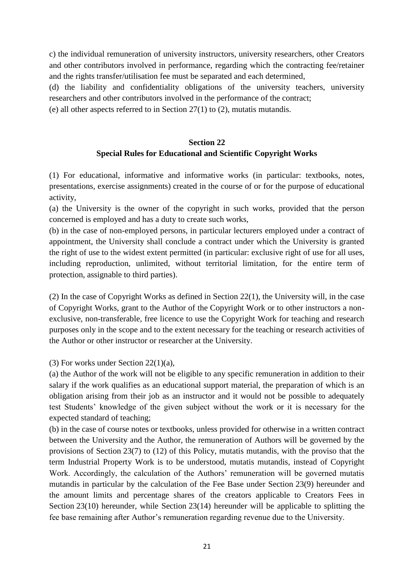c) the individual remuneration of university instructors, university researchers, other Creators and other contributors involved in performance, regarding which the contracting fee/retainer and the rights transfer/utilisation fee must be separated and each determined,

(d) the liability and confidentiality obligations of the university teachers, university researchers and other contributors involved in the performance of the contract;

(e) all other aspects referred to in Section 27(1) to (2), mutatis mutandis.

## **Section 22 Special Rules for Educational and Scientific Copyright Works**

(1) For educational, informative and informative works (in particular: textbooks, notes, presentations, exercise assignments) created in the course of or for the purpose of educational activity,

(a) the University is the owner of the copyright in such works, provided that the person concerned is employed and has a duty to create such works,

(b) in the case of non-employed persons, in particular lecturers employed under a contract of appointment, the University shall conclude a contract under which the University is granted the right of use to the widest extent permitted (in particular: exclusive right of use for all uses, including reproduction, unlimited, without territorial limitation, for the entire term of protection, assignable to third parties).

(2) In the case of Copyright Works as defined in Section 22(1), the University will, in the case of Copyright Works, grant to the Author of the Copyright Work or to other instructors a nonexclusive, non-transferable, free licence to use the Copyright Work for teaching and research purposes only in the scope and to the extent necessary for the teaching or research activities of the Author or other instructor or researcher at the University.

(3) For works under Section 22(1)(a),

(a) the Author of the work will not be eligible to any specific remuneration in addition to their salary if the work qualifies as an educational support material, the preparation of which is an obligation arising from their job as an instructor and it would not be possible to adequately test Students' knowledge of the given subject without the work or it is necessary for the expected standard of teaching;

(b) in the case of course notes or textbooks, unless provided for otherwise in a written contract between the University and the Author, the remuneration of Authors will be governed by the provisions of Section 23(7) to (12) of this Policy, mutatis mutandis, with the proviso that the term Industrial Property Work is to be understood, mutatis mutandis, instead of Copyright Work. Accordingly, the calculation of the Authors' remuneration will be governed mutatis mutandis in particular by the calculation of the Fee Base under Section 23(9) hereunder and the amount limits and percentage shares of the creators applicable to Creators Fees in Section 23(10) hereunder, while Section 23(14) hereunder will be applicable to splitting the fee base remaining after Author's remuneration regarding revenue due to the University.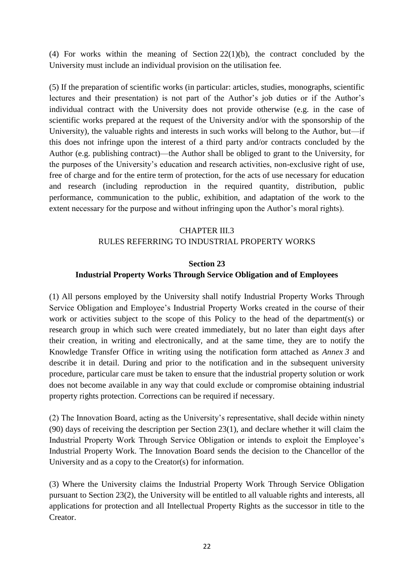(4) For works within the meaning of Section 22(1)(b), the contract concluded by the University must include an individual provision on the utilisation fee.

(5) If the preparation of scientific works (in particular: articles, studies, monographs, scientific lectures and their presentation) is not part of the Author's job duties or if the Author's individual contract with the University does not provide otherwise (e.g. in the case of scientific works prepared at the request of the University and/or with the sponsorship of the University), the valuable rights and interests in such works will belong to the Author, but—if this does not infringe upon the interest of a third party and/or contracts concluded by the Author (e.g. publishing contract)—the Author shall be obliged to grant to the University, for the purposes of the University's education and research activities, non-exclusive right of use, free of charge and for the entire term of protection, for the acts of use necessary for education and research (including reproduction in the required quantity, distribution, public performance, communication to the public, exhibition, and adaptation of the work to the extent necessary for the purpose and without infringing upon the Author's moral rights).

## CHAPTER III.3 RULES REFERRING TO INDUSTRIAL PROPERTY WORKS

#### **Section 23**

#### **Industrial Property Works Through Service Obligation and of Employees**

(1) All persons employed by the University shall notify Industrial Property Works Through Service Obligation and Employee's Industrial Property Works created in the course of their work or activities subject to the scope of this Policy to the head of the department(s) or research group in which such were created immediately, but no later than eight days after their creation, in writing and electronically, and at the same time, they are to notify the Knowledge Transfer Office in writing using the notification form attached as *Annex 3* and describe it in detail. During and prior to the notification and in the subsequent university procedure, particular care must be taken to ensure that the industrial property solution or work does not become available in any way that could exclude or compromise obtaining industrial property rights protection. Corrections can be required if necessary.

(2) The Innovation Board, acting as the University's representative, shall decide within ninety (90) days of receiving the description per Section 23(1), and declare whether it will claim the Industrial Property Work Through Service Obligation or intends to exploit the Employee's Industrial Property Work. The Innovation Board sends the decision to the Chancellor of the University and as a copy to the Creator(s) for information.

(3) Where the University claims the Industrial Property Work Through Service Obligation pursuant to Section 23(2), the University will be entitled to all valuable rights and interests, all applications for protection and all Intellectual Property Rights as the successor in title to the Creator.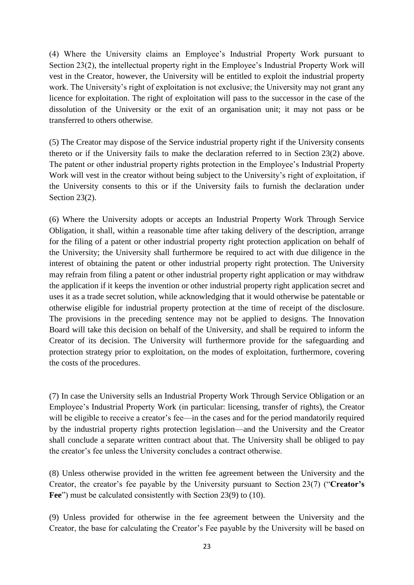(4) Where the University claims an Employee's Industrial Property Work pursuant to Section 23(2), the intellectual property right in the Employee's Industrial Property Work will vest in the Creator, however, the University will be entitled to exploit the industrial property work. The University's right of exploitation is not exclusive; the University may not grant any licence for exploitation. The right of exploitation will pass to the successor in the case of the dissolution of the University or the exit of an organisation unit; it may not pass or be transferred to others otherwise.

(5) The Creator may dispose of the Service industrial property right if the University consents thereto or if the University fails to make the declaration referred to in Section 23(2) above. The patent or other industrial property rights protection in the Employee's Industrial Property Work will vest in the creator without being subject to the University's right of exploitation, if the University consents to this or if the University fails to furnish the declaration under Section 23(2).

(6) Where the University adopts or accepts an Industrial Property Work Through Service Obligation, it shall, within a reasonable time after taking delivery of the description, arrange for the filing of a patent or other industrial property right protection application on behalf of the University; the University shall furthermore be required to act with due diligence in the interest of obtaining the patent or other industrial property right protection. The University may refrain from filing a patent or other industrial property right application or may withdraw the application if it keeps the invention or other industrial property right application secret and uses it as a trade secret solution, while acknowledging that it would otherwise be patentable or otherwise eligible for industrial property protection at the time of receipt of the disclosure. The provisions in the preceding sentence may not be applied to designs. The Innovation Board will take this decision on behalf of the University, and shall be required to inform the Creator of its decision. The University will furthermore provide for the safeguarding and protection strategy prior to exploitation, on the modes of exploitation, furthermore, covering the costs of the procedures.

(7) In case the University sells an Industrial Property Work Through Service Obligation or an Employee's Industrial Property Work (in particular: licensing, transfer of rights), the Creator will be eligible to receive a creator's fee—in the cases and for the period mandatorily required by the industrial property rights protection legislation—and the University and the Creator shall conclude a separate written contract about that. The University shall be obliged to pay the creator's fee unless the University concludes a contract otherwise.

(8) Unless otherwise provided in the written fee agreement between the University and the Creator, the creator's fee payable by the University pursuant to Section 23(7) ("**Creator's**  Fee") must be calculated consistently with Section 23(9) to (10).

(9) Unless provided for otherwise in the fee agreement between the University and the Creator, the base for calculating the Creator's Fee payable by the University will be based on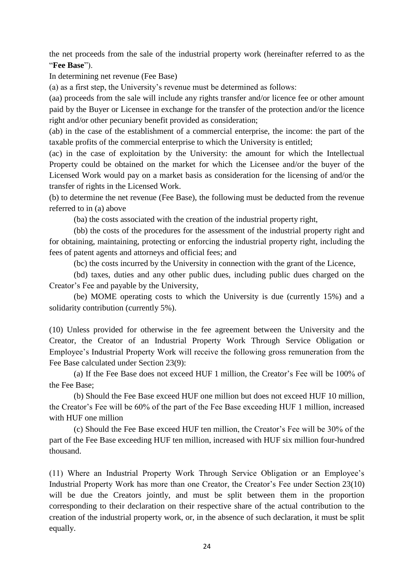the net proceeds from the sale of the industrial property work (hereinafter referred to as the "**Fee Base**").

In determining net revenue (Fee Base)

(a) as a first step, the University's revenue must be determined as follows:

(aa) proceeds from the sale will include any rights transfer and/or licence fee or other amount paid by the Buyer or Licensee in exchange for the transfer of the protection and/or the licence right and/or other pecuniary benefit provided as consideration;

(ab) in the case of the establishment of a commercial enterprise, the income: the part of the taxable profits of the commercial enterprise to which the University is entitled;

(ac) in the case of exploitation by the University: the amount for which the Intellectual Property could be obtained on the market for which the Licensee and/or the buyer of the Licensed Work would pay on a market basis as consideration for the licensing of and/or the transfer of rights in the Licensed Work.

(b) to determine the net revenue (Fee Base), the following must be deducted from the revenue referred to in (a) above

(ba) the costs associated with the creation of the industrial property right,

(bb) the costs of the procedures for the assessment of the industrial property right and for obtaining, maintaining, protecting or enforcing the industrial property right, including the fees of patent agents and attorneys and official fees; and

(bc) the costs incurred by the University in connection with the grant of the Licence,

(bd) taxes, duties and any other public dues, including public dues charged on the Creator's Fee and payable by the University,

(be) MOME operating costs to which the University is due (currently 15%) and a solidarity contribution (currently 5%).

(10) Unless provided for otherwise in the fee agreement between the University and the Creator, the Creator of an Industrial Property Work Through Service Obligation or Employee's Industrial Property Work will receive the following gross remuneration from the Fee Base calculated under Section 23(9):

(a) If the Fee Base does not exceed HUF 1 million, the Creator's Fee will be 100% of the Fee Base;

(b) Should the Fee Base exceed HUF one million but does not exceed HUF 10 million, the Creator's Fee will be 60% of the part of the Fee Base exceeding HUF 1 million, increased with HUF one million

(c) Should the Fee Base exceed HUF ten million, the Creator's Fee will be 30% of the part of the Fee Base exceeding HUF ten million, increased with HUF six million four-hundred thousand.

(11) Where an Industrial Property Work Through Service Obligation or an Employee's Industrial Property Work has more than one Creator, the Creator's Fee under Section 23(10) will be due the Creators jointly, and must be split between them in the proportion corresponding to their declaration on their respective share of the actual contribution to the creation of the industrial property work, or, in the absence of such declaration, it must be split equally.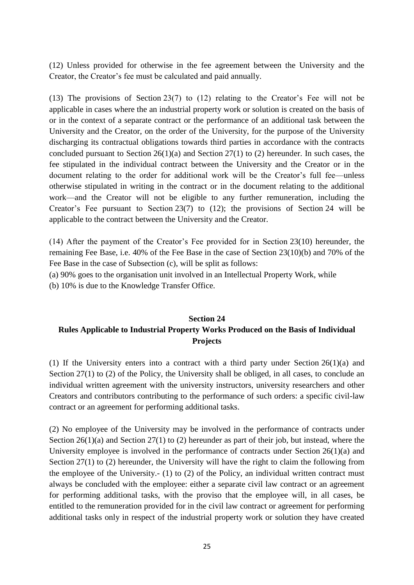(12) Unless provided for otherwise in the fee agreement between the University and the Creator, the Creator's fee must be calculated and paid annually.

(13) The provisions of Section 23(7) to (12) relating to the Creator's Fee will not be applicable in cases where the an industrial property work or solution is created on the basis of or in the context of a separate contract or the performance of an additional task between the University and the Creator, on the order of the University, for the purpose of the University discharging its contractual obligations towards third parties in accordance with the contracts concluded pursuant to Section  $26(1)(a)$  and Section  $27(1)$  to (2) hereunder. In such cases, the fee stipulated in the individual contract between the University and the Creator or in the document relating to the order for additional work will be the Creator's full fee—unless otherwise stipulated in writing in the contract or in the document relating to the additional work—and the Creator will not be eligible to any further remuneration, including the Creator's Fee pursuant to Section 23(7) to (12); the provisions of Section 24 will be applicable to the contract between the University and the Creator.

(14) After the payment of the Creator's Fee provided for in Section 23(10) hereunder, the remaining Fee Base, i.e. 40% of the Fee Base in the case of Section 23(10)(b) and 70% of the Fee Base in the case of Subsection (c), will be split as follows:

(a) 90% goes to the organisation unit involved in an Intellectual Property Work, while

(b) 10% is due to the Knowledge Transfer Office.

# **Section 24 Rules Applicable to Industrial Property Works Produced on the Basis of Individual Projects**

(1) If the University enters into a contract with a third party under Section 26(1)(a) and Section 27(1) to (2) of the Policy, the University shall be obliged, in all cases, to conclude an individual written agreement with the university instructors, university researchers and other Creators and contributors contributing to the performance of such orders: a specific civil-law contract or an agreement for performing additional tasks.

(2) No employee of the University may be involved in the performance of contracts under Section 26(1)(a) and Section 27(1) to (2) hereunder as part of their job, but instead, where the University employee is involved in the performance of contracts under Section 26(1)(a) and Section 27(1) to (2) hereunder, the University will have the right to claim the following from the employee of the University.- (1) to (2) of the Policy, an individual written contract must always be concluded with the employee: either a separate civil law contract or an agreement for performing additional tasks, with the proviso that the employee will, in all cases, be entitled to the remuneration provided for in the civil law contract or agreement for performing additional tasks only in respect of the industrial property work or solution they have created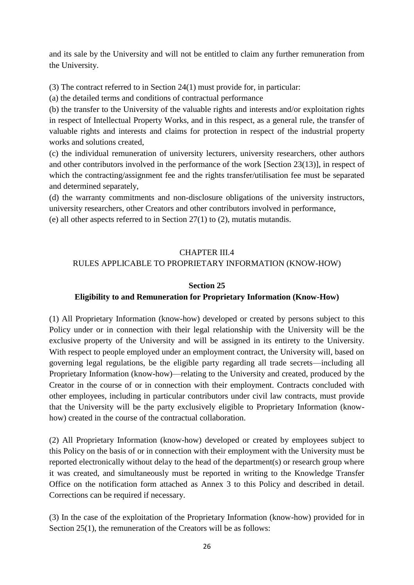and its sale by the University and will not be entitled to claim any further remuneration from the University.

(3) The contract referred to in Section 24(1) must provide for, in particular:

(a) the detailed terms and conditions of contractual performance

(b) the transfer to the University of the valuable rights and interests and/or exploitation rights in respect of Intellectual Property Works, and in this respect, as a general rule, the transfer of valuable rights and interests and claims for protection in respect of the industrial property works and solutions created,

(c) the individual remuneration of university lecturers, university researchers, other authors and other contributors involved in the performance of the work [Section 23(13)], in respect of which the contracting/assignment fee and the rights transfer/utilisation fee must be separated and determined separately,

(d) the warranty commitments and non-disclosure obligations of the university instructors, university researchers, other Creators and other contributors involved in performance, (e) all other aspects referred to in Section 27(1) to (2), mutatis mutandis.

# CHAPTER III.4 RULES APPLICABLE TO PROPRIETARY INFORMATION (KNOW-HOW)

## **Section 25**

## **Eligibility to and Remuneration for Proprietary Information (Know-How)**

(1) All Proprietary Information (know-how) developed or created by persons subject to this Policy under or in connection with their legal relationship with the University will be the exclusive property of the University and will be assigned in its entirety to the University. With respect to people employed under an employment contract, the University will, based on governing legal regulations, be the eligible party regarding all trade secrets—including all Proprietary Information (know-how)—relating to the University and created, produced by the Creator in the course of or in connection with their employment. Contracts concluded with other employees, including in particular contributors under civil law contracts, must provide that the University will be the party exclusively eligible to Proprietary Information (knowhow) created in the course of the contractual collaboration.

(2) All Proprietary Information (know-how) developed or created by employees subject to this Policy on the basis of or in connection with their employment with the University must be reported electronically without delay to the head of the department(s) or research group where it was created, and simultaneously must be reported in writing to the Knowledge Transfer Office on the notification form attached as Annex 3 to this Policy and described in detail. Corrections can be required if necessary.

(3) In the case of the exploitation of the Proprietary Information (know-how) provided for in Section 25(1), the remuneration of the Creators will be as follows: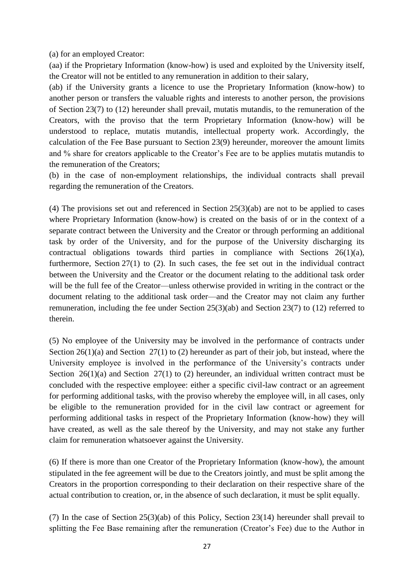(a) for an employed Creator:

(aa) if the Proprietary Information (know-how) is used and exploited by the University itself, the Creator will not be entitled to any remuneration in addition to their salary,

(ab) if the University grants a licence to use the Proprietary Information (know-how) to another person or transfers the valuable rights and interests to another person, the provisions of Section 23(7) to (12) hereunder shall prevail, mutatis mutandis, to the remuneration of the Creators, with the proviso that the term Proprietary Information (know-how) will be understood to replace, mutatis mutandis, intellectual property work. Accordingly, the calculation of the Fee Base pursuant to Section 23(9) hereunder, moreover the amount limits and % share for creators applicable to the Creator's Fee are to be applies mutatis mutandis to the remuneration of the Creators;

(b) in the case of non-employment relationships, the individual contracts shall prevail regarding the remuneration of the Creators.

(4) The provisions set out and referenced in Section 25(3)(ab) are not to be applied to cases where Proprietary Information (know-how) is created on the basis of or in the context of a separate contract between the University and the Creator or through performing an additional task by order of the University, and for the purpose of the University discharging its contractual obligations towards third parties in compliance with Sections 26(1)(a), furthermore, Section 27(1) to (2). In such cases, the fee set out in the individual contract between the University and the Creator or the document relating to the additional task order will be the full fee of the Creator—unless otherwise provided in writing in the contract or the document relating to the additional task order—and the Creator may not claim any further remuneration, including the fee under Section 25(3)(ab) and Section 23(7) to (12) referred to therein.

(5) No employee of the University may be involved in the performance of contracts under Section 26(1)(a) and Section 27(1) to (2) hereunder as part of their job, but instead, where the University employee is involved in the performance of the University's contracts under Section  $26(1)(a)$  and Section  $27(1)$  to (2) hereunder, an individual written contract must be concluded with the respective employee: either a specific civil-law contract or an agreement for performing additional tasks, with the proviso whereby the employee will, in all cases, only be eligible to the remuneration provided for in the civil law contract or agreement for performing additional tasks in respect of the Proprietary Information (know-how) they will have created, as well as the sale thereof by the University, and may not stake any further claim for remuneration whatsoever against the University.

(6) If there is more than one Creator of the Proprietary Information (know-how), the amount stipulated in the fee agreement will be due to the Creators jointly, and must be split among the Creators in the proportion corresponding to their declaration on their respective share of the actual contribution to creation, or, in the absence of such declaration, it must be split equally.

(7) In the case of Section 25(3)(ab) of this Policy, Section 23(14) hereunder shall prevail to splitting the Fee Base remaining after the remuneration (Creator's Fee) due to the Author in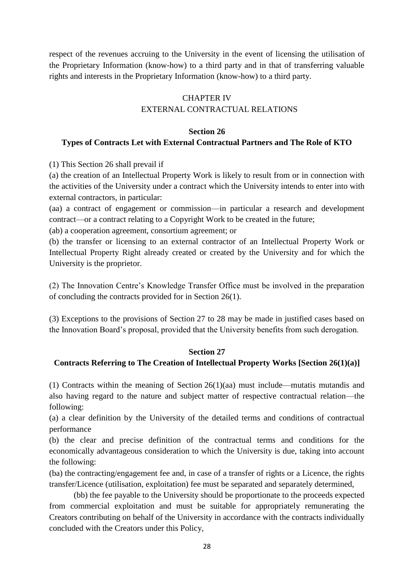respect of the revenues accruing to the University in the event of licensing the utilisation of the Proprietary Information (know-how) to a third party and in that of transferring valuable rights and interests in the Proprietary Information (know-how) to a third party.

# CHAPTER IV EXTERNAL CONTRACTUAL RELATIONS

#### **Section 26**

## **Types of Contracts Let with External Contractual Partners and The Role of KTO**

(1) This Section 26 shall prevail if

(a) the creation of an Intellectual Property Work is likely to result from or in connection with the activities of the University under a contract which the University intends to enter into with external contractors, in particular:

(aa) a contract of engagement or commission—in particular a research and development contract—or a contract relating to a Copyright Work to be created in the future;

(ab) a cooperation agreement, consortium agreement; or

(b) the transfer or licensing to an external contractor of an Intellectual Property Work or Intellectual Property Right already created or created by the University and for which the University is the proprietor.

(2) The Innovation Centre's Knowledge Transfer Office must be involved in the preparation of concluding the contracts provided for in Section 26(1).

(3) Exceptions to the provisions of Section 27 to 28 may be made in justified cases based on the Innovation Board's proposal, provided that the University benefits from such derogation.

#### **Section 27**

#### **Contracts Referring to The Creation of Intellectual Property Works [Section 26(1)(a)]**

(1) Contracts within the meaning of Section 26(1)(aa) must include—mutatis mutandis and also having regard to the nature and subject matter of respective contractual relation—the following:

(a) a clear definition by the University of the detailed terms and conditions of contractual performance

(b) the clear and precise definition of the contractual terms and conditions for the economically advantageous consideration to which the University is due, taking into account the following:

(ba) the contracting/engagement fee and, in case of a transfer of rights or a Licence, the rights transfer/Licence (utilisation, exploitation) fee must be separated and separately determined,

(bb) the fee payable to the University should be proportionate to the proceeds expected from commercial exploitation and must be suitable for appropriately remunerating the Creators contributing on behalf of the University in accordance with the contracts individually concluded with the Creators under this Policy,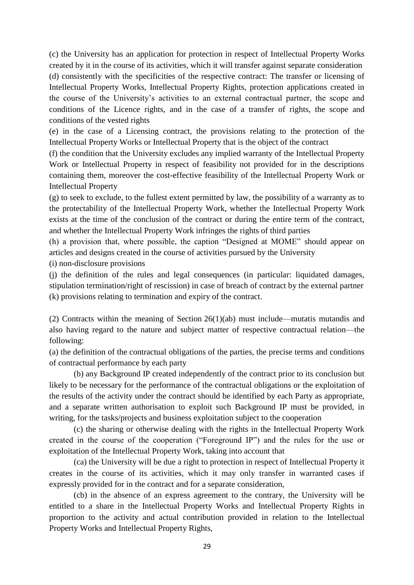(c) the University has an application for protection in respect of Intellectual Property Works created by it in the course of its activities, which it will transfer against separate consideration

(d) consistently with the specificities of the respective contract: The transfer or licensing of Intellectual Property Works, Intellectual Property Rights, protection applications created in the course of the University's activities to an external contractual partner, the scope and conditions of the Licence rights, and in the case of a transfer of rights, the scope and conditions of the vested rights

(e) in the case of a Licensing contract, the provisions relating to the protection of the Intellectual Property Works or Intellectual Property that is the object of the contract

(f) the condition that the University excludes any implied warranty of the Intellectual Property Work or Intellectual Property in respect of feasibility not provided for in the descriptions containing them, moreover the cost-effective feasibility of the Intellectual Property Work or Intellectual Property

(g) to seek to exclude, to the fullest extent permitted by law, the possibility of a warranty as to the protectability of the Intellectual Property Work, whether the Intellectual Property Work exists at the time of the conclusion of the contract or during the entire term of the contract, and whether the Intellectual Property Work infringes the rights of third parties

(h) a provision that, where possible, the caption "Designed at MOME" should appear on articles and designs created in the course of activities pursued by the University

(i) non-disclosure provisions

(j) the definition of the rules and legal consequences (in particular: liquidated damages, stipulation termination/right of rescission) in case of breach of contract by the external partner (k) provisions relating to termination and expiry of the contract.

(2) Contracts within the meaning of Section 26(1)(ab) must include—mutatis mutandis and also having regard to the nature and subject matter of respective contractual relation—the following:

(a) the definition of the contractual obligations of the parties, the precise terms and conditions of contractual performance by each party

(b) any Background IP created independently of the contract prior to its conclusion but likely to be necessary for the performance of the contractual obligations or the exploitation of the results of the activity under the contract should be identified by each Party as appropriate, and a separate written authorisation to exploit such Background IP must be provided, in writing, for the tasks/projects and business exploitation subject to the cooperation

(c) the sharing or otherwise dealing with the rights in the Intellectual Property Work created in the course of the cooperation ("Foreground IP") and the rules for the use or exploitation of the Intellectual Property Work, taking into account that

(ca) the University will be due a right to protection in respect of Intellectual Property it creates in the course of its activities, which it may only transfer in warranted cases if expressly provided for in the contract and for a separate consideration,

(cb) in the absence of an express agreement to the contrary, the University will be entitled to a share in the Intellectual Property Works and Intellectual Property Rights in proportion to the activity and actual contribution provided in relation to the Intellectual Property Works and Intellectual Property Rights,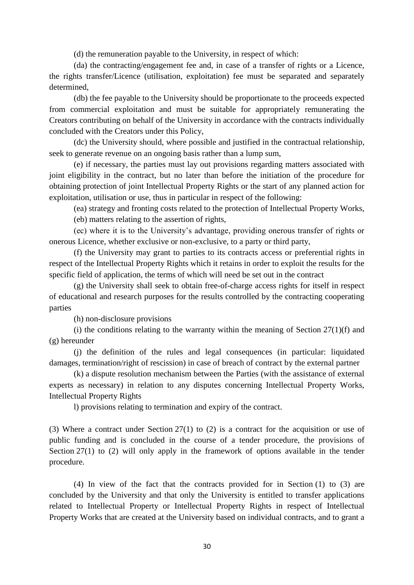(d) the remuneration payable to the University, in respect of which:

(da) the contracting/engagement fee and, in case of a transfer of rights or a Licence, the rights transfer/Licence (utilisation, exploitation) fee must be separated and separately determined,

(db) the fee payable to the University should be proportionate to the proceeds expected from commercial exploitation and must be suitable for appropriately remunerating the Creators contributing on behalf of the University in accordance with the contracts individually concluded with the Creators under this Policy,

(dc) the University should, where possible and justified in the contractual relationship, seek to generate revenue on an ongoing basis rather than a lump sum,

(e) if necessary, the parties must lay out provisions regarding matters associated with joint eligibility in the contract, but no later than before the initiation of the procedure for obtaining protection of joint Intellectual Property Rights or the start of any planned action for exploitation, utilisation or use, thus in particular in respect of the following:

(ea) strategy and fronting costs related to the protection of Intellectual Property Works,

(eb) matters relating to the assertion of rights,

(ec) where it is to the University's advantage, providing onerous transfer of rights or onerous Licence, whether exclusive or non-exclusive, to a party or third party,

(f) the University may grant to parties to its contracts access or preferential rights in respect of the Intellectual Property Rights which it retains in order to exploit the results for the specific field of application, the terms of which will need be set out in the contract

(g) the University shall seek to obtain free-of-charge access rights for itself in respect of educational and research purposes for the results controlled by the contracting cooperating parties

(h) non-disclosure provisions

(i) the conditions relating to the warranty within the meaning of Section  $27(1)(f)$  and (g) hereunder

(j) the definition of the rules and legal consequences (in particular: liquidated damages, termination/right of rescission) in case of breach of contract by the external partner

(k) a dispute resolution mechanism between the Parties (with the assistance of external experts as necessary) in relation to any disputes concerning Intellectual Property Works, Intellectual Property Rights

l) provisions relating to termination and expiry of the contract.

(3) Where a contract under Section 27(1) to (2) is a contract for the acquisition or use of public funding and is concluded in the course of a tender procedure, the provisions of Section 27(1) to (2) will only apply in the framework of options available in the tender procedure.

(4) In view of the fact that the contracts provided for in Section (1) to (3) are concluded by the University and that only the University is entitled to transfer applications related to Intellectual Property or Intellectual Property Rights in respect of Intellectual Property Works that are created at the University based on individual contracts, and to grant a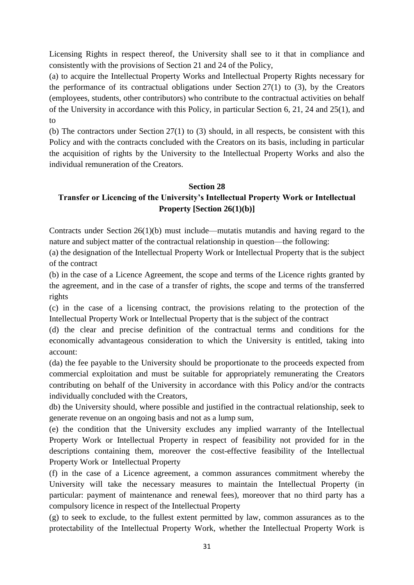Licensing Rights in respect thereof, the University shall see to it that in compliance and consistently with the provisions of Section 21 and 24 of the Policy,

(a) to acquire the Intellectual Property Works and Intellectual Property Rights necessary for the performance of its contractual obligations under Section  $27(1)$  to (3), by the Creators (employees, students, other contributors) who contribute to the contractual activities on behalf of the University in accordance with this Policy, in particular Section 6, 21, 24 and 25(1), and to

(b) The contractors under Section 27(1) to (3) should, in all respects, be consistent with this Policy and with the contracts concluded with the Creators on its basis, including in particular the acquisition of rights by the University to the Intellectual Property Works and also the individual remuneration of the Creators.

#### **Section 28**

## **Transfer or Licencing of the University's Intellectual Property Work or Intellectual Property [Section 26(1)(b)]**

Contracts under Section 26(1)(b) must include—mutatis mutandis and having regard to the nature and subject matter of the contractual relationship in question—the following:

(a) the designation of the Intellectual Property Work or Intellectual Property that is the subject of the contract

(b) in the case of a Licence Agreement, the scope and terms of the Licence rights granted by the agreement, and in the case of a transfer of rights, the scope and terms of the transferred rights

(c) in the case of a licensing contract, the provisions relating to the protection of the Intellectual Property Work or Intellectual Property that is the subject of the contract

(d) the clear and precise definition of the contractual terms and conditions for the economically advantageous consideration to which the University is entitled, taking into account:

(da) the fee payable to the University should be proportionate to the proceeds expected from commercial exploitation and must be suitable for appropriately remunerating the Creators contributing on behalf of the University in accordance with this Policy and/or the contracts individually concluded with the Creators,

db) the University should, where possible and justified in the contractual relationship, seek to generate revenue on an ongoing basis and not as a lump sum,

(e) the condition that the University excludes any implied warranty of the Intellectual Property Work or Intellectual Property in respect of feasibility not provided for in the descriptions containing them, moreover the cost-effective feasibility of the Intellectual Property Work or Intellectual Property

(f) in the case of a Licence agreement, a common assurances commitment whereby the University will take the necessary measures to maintain the Intellectual Property (in particular: payment of maintenance and renewal fees), moreover that no third party has a compulsory licence in respect of the Intellectual Property

(g) to seek to exclude, to the fullest extent permitted by law, common assurances as to the protectability of the Intellectual Property Work, whether the Intellectual Property Work is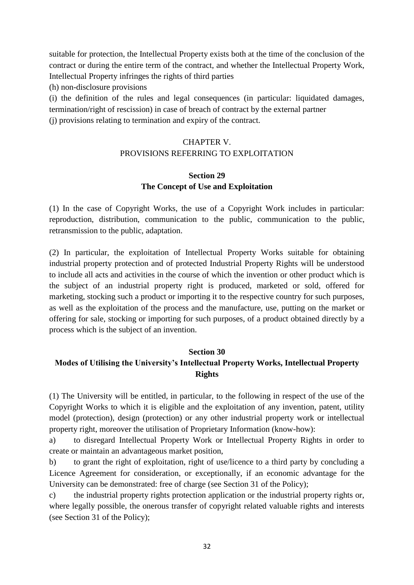suitable for protection, the Intellectual Property exists both at the time of the conclusion of the contract or during the entire term of the contract, and whether the Intellectual Property Work, Intellectual Property infringes the rights of third parties

(h) non-disclosure provisions

(i) the definition of the rules and legal consequences (in particular: liquidated damages, termination/right of rescission) in case of breach of contract by the external partner (j) provisions relating to termination and expiry of the contract.

# CHAPTER V.

# PROVISIONS REFERRING TO EXPLOITATION

#### **Section 29 The Concept of Use and Exploitation**

(1) In the case of Copyright Works, the use of a Copyright Work includes in particular: reproduction, distribution, communication to the public, communication to the public, retransmission to the public, adaptation.

(2) In particular, the exploitation of Intellectual Property Works suitable for obtaining industrial property protection and of protected Industrial Property Rights will be understood to include all acts and activities in the course of which the invention or other product which is the subject of an industrial property right is produced, marketed or sold, offered for marketing, stocking such a product or importing it to the respective country for such purposes, as well as the exploitation of the process and the manufacture, use, putting on the market or offering for sale, stocking or importing for such purposes, of a product obtained directly by a process which is the subject of an invention.

#### **Section 30**

# **Modes of Utilising the University's Intellectual Property Works, Intellectual Property Rights**

(1) The University will be entitled, in particular, to the following in respect of the use of the Copyright Works to which it is eligible and the exploitation of any invention, patent, utility model (protection), design (protection) or any other industrial property work or intellectual property right, moreover the utilisation of Proprietary Information (know-how):

a) to disregard Intellectual Property Work or Intellectual Property Rights in order to create or maintain an advantageous market position,

b) to grant the right of exploitation, right of use/licence to a third party by concluding a Licence Agreement for consideration, or exceptionally, if an economic advantage for the University can be demonstrated: free of charge (see Section 31 of the Policy);

c) the industrial property rights protection application or the industrial property rights or, where legally possible, the onerous transfer of copyright related valuable rights and interests (see Section 31 of the Policy);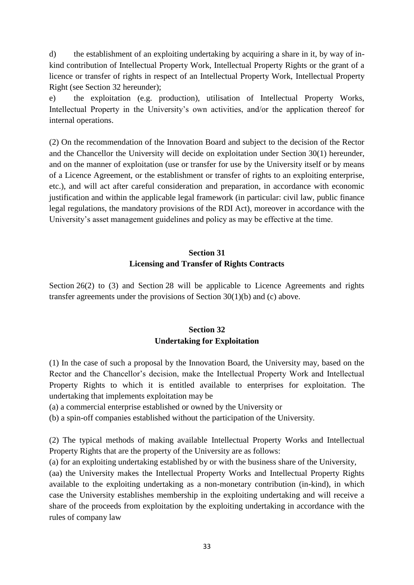d) the establishment of an exploiting undertaking by acquiring a share in it, by way of inkind contribution of Intellectual Property Work, Intellectual Property Rights or the grant of a licence or transfer of rights in respect of an Intellectual Property Work, Intellectual Property Right (see Section 32 hereunder);

e) the exploitation (e.g. production), utilisation of Intellectual Property Works, Intellectual Property in the University's own activities, and/or the application thereof for internal operations.

(2) On the recommendation of the Innovation Board and subject to the decision of the Rector and the Chancellor the University will decide on exploitation under Section 30(1) hereunder, and on the manner of exploitation (use or transfer for use by the University itself or by means of a Licence Agreement, or the establishment or transfer of rights to an exploiting enterprise, etc.), and will act after careful consideration and preparation, in accordance with economic justification and within the applicable legal framework (in particular: civil law, public finance legal regulations, the mandatory provisions of the RDI Act), moreover in accordance with the University's asset management guidelines and policy as may be effective at the time.

# **Section 31 Licensing and Transfer of Rights Contracts**

Section 26(2) to (3) and Section 28 will be applicable to Licence Agreements and rights transfer agreements under the provisions of Section 30(1)(b) and (c) above.

# **Section 32 Undertaking for Exploitation**

(1) In the case of such a proposal by the Innovation Board, the University may, based on the Rector and the Chancellor's decision, make the Intellectual Property Work and Intellectual Property Rights to which it is entitled available to enterprises for exploitation. The undertaking that implements exploitation may be

(a) a commercial enterprise established or owned by the University or

(b) a spin-off companies established without the participation of the University.

(2) The typical methods of making available Intellectual Property Works and Intellectual Property Rights that are the property of the University are as follows:

(a) for an exploiting undertaking established by or with the business share of the University,

(aa) the University makes the Intellectual Property Works and Intellectual Property Rights available to the exploiting undertaking as a non-monetary contribution (in-kind), in which case the University establishes membership in the exploiting undertaking and will receive a share of the proceeds from exploitation by the exploiting undertaking in accordance with the rules of company law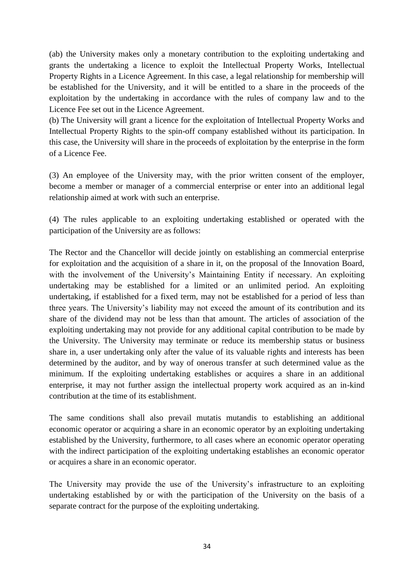(ab) the University makes only a monetary contribution to the exploiting undertaking and grants the undertaking a licence to exploit the Intellectual Property Works, Intellectual Property Rights in a Licence Agreement. In this case, a legal relationship for membership will be established for the University, and it will be entitled to a share in the proceeds of the exploitation by the undertaking in accordance with the rules of company law and to the Licence Fee set out in the Licence Agreement.

(b) The University will grant a licence for the exploitation of Intellectual Property Works and Intellectual Property Rights to the spin-off company established without its participation. In this case, the University will share in the proceeds of exploitation by the enterprise in the form of a Licence Fee.

(3) An employee of the University may, with the prior written consent of the employer, become a member or manager of a commercial enterprise or enter into an additional legal relationship aimed at work with such an enterprise.

(4) The rules applicable to an exploiting undertaking established or operated with the participation of the University are as follows:

The Rector and the Chancellor will decide jointly on establishing an commercial enterprise for exploitation and the acquisition of a share in it, on the proposal of the Innovation Board, with the involvement of the University's Maintaining Entity if necessary. An exploiting undertaking may be established for a limited or an unlimited period. An exploiting undertaking, if established for a fixed term, may not be established for a period of less than three years. The University's liability may not exceed the amount of its contribution and its share of the dividend may not be less than that amount. The articles of association of the exploiting undertaking may not provide for any additional capital contribution to be made by the University. The University may terminate or reduce its membership status or business share in, a user undertaking only after the value of its valuable rights and interests has been determined by the auditor, and by way of onerous transfer at such determined value as the minimum. If the exploiting undertaking establishes or acquires a share in an additional enterprise, it may not further assign the intellectual property work acquired as an in-kind contribution at the time of its establishment.

The same conditions shall also prevail mutatis mutandis to establishing an additional economic operator or acquiring a share in an economic operator by an exploiting undertaking established by the University, furthermore, to all cases where an economic operator operating with the indirect participation of the exploiting undertaking establishes an economic operator or acquires a share in an economic operator.

The University may provide the use of the University's infrastructure to an exploiting undertaking established by or with the participation of the University on the basis of a separate contract for the purpose of the exploiting undertaking.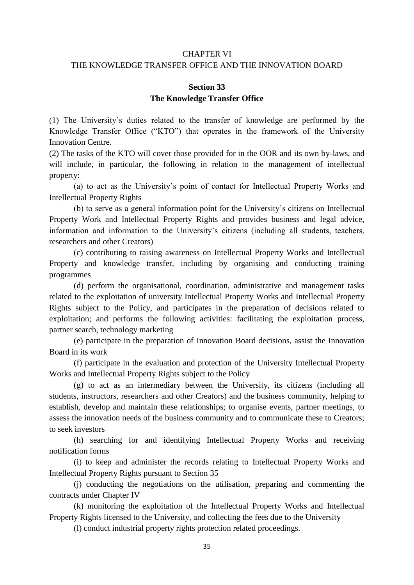## CHAPTER VI

#### THE KNOWLEDGE TRANSFER OFFICE AND THE INNOVATION BOARD

#### **Section 33 The Knowledge Transfer Office**

(1) The University's duties related to the transfer of knowledge are performed by the Knowledge Transfer Office ("KTO") that operates in the framework of the University Innovation Centre.

(2) The tasks of the KTO will cover those provided for in the OOR and its own by-laws, and will include, in particular, the following in relation to the management of intellectual property:

(a) to act as the University's point of contact for Intellectual Property Works and Intellectual Property Rights

(b) to serve as a general information point for the University's citizens on Intellectual Property Work and Intellectual Property Rights and provides business and legal advice, information and information to the University's citizens (including all students, teachers, researchers and other Creators)

(c) contributing to raising awareness on Intellectual Property Works and Intellectual Property and knowledge transfer, including by organising and conducting training programmes

(d) perform the organisational, coordination, administrative and management tasks related to the exploitation of university Intellectual Property Works and Intellectual Property Rights subject to the Policy, and participates in the preparation of decisions related to exploitation; and performs the following activities: facilitating the exploitation process, partner search, technology marketing

(e) participate in the preparation of Innovation Board decisions, assist the Innovation Board in its work

(f) participate in the evaluation and protection of the University Intellectual Property Works and Intellectual Property Rights subject to the Policy

(g) to act as an intermediary between the University, its citizens (including all students, instructors, researchers and other Creators) and the business community, helping to establish, develop and maintain these relationships; to organise events, partner meetings, to assess the innovation needs of the business community and to communicate these to Creators; to seek investors

(h) searching for and identifying Intellectual Property Works and receiving notification forms

(i) to keep and administer the records relating to Intellectual Property Works and Intellectual Property Rights pursuant to Section 35

(j) conducting the negotiations on the utilisation, preparing and commenting the contracts under Chapter IV

(k) monitoring the exploitation of the Intellectual Property Works and Intellectual Property Rights licensed to the University, and collecting the fees due to the University

(l) conduct industrial property rights protection related proceedings.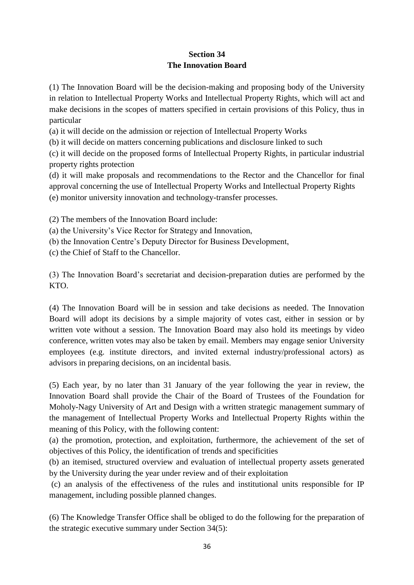# **Section 34 The Innovation Board**

(1) The Innovation Board will be the decision-making and proposing body of the University in relation to Intellectual Property Works and Intellectual Property Rights, which will act and make decisions in the scopes of matters specified in certain provisions of this Policy, thus in particular

(a) it will decide on the admission or rejection of Intellectual Property Works

(b) it will decide on matters concerning publications and disclosure linked to such

(c) it will decide on the proposed forms of Intellectual Property Rights, in particular industrial property rights protection

(d) it will make proposals and recommendations to the Rector and the Chancellor for final approval concerning the use of Intellectual Property Works and Intellectual Property Rights (e) monitor university innovation and technology-transfer processes.

(2) The members of the Innovation Board include:

(a) the University's Vice Rector for Strategy and Innovation,

(b) the Innovation Centre's Deputy Director for Business Development,

(c) the Chief of Staff to the Chancellor.

(3) The Innovation Board's secretariat and decision-preparation duties are performed by the KTO.

(4) The Innovation Board will be in session and take decisions as needed. The Innovation Board will adopt its decisions by a simple majority of votes cast, either in session or by written vote without a session. The Innovation Board may also hold its meetings by video conference, written votes may also be taken by email. Members may engage senior University employees (e.g. institute directors, and invited external industry/professional actors) as advisors in preparing decisions, on an incidental basis.

(5) Each year, by no later than 31 January of the year following the year in review, the Innovation Board shall provide the Chair of the Board of Trustees of the Foundation for Moholy-Nagy University of Art and Design with a written strategic management summary of the management of Intellectual Property Works and Intellectual Property Rights within the meaning of this Policy, with the following content:

(a) the promotion, protection, and exploitation, furthermore, the achievement of the set of objectives of this Policy, the identification of trends and specificities

(b) an itemised, structured overview and evaluation of intellectual property assets generated by the University during the year under review and of their exploitation

(c) an analysis of the effectiveness of the rules and institutional units responsible for IP management, including possible planned changes.

(6) The Knowledge Transfer Office shall be obliged to do the following for the preparation of the strategic executive summary under Section 34(5):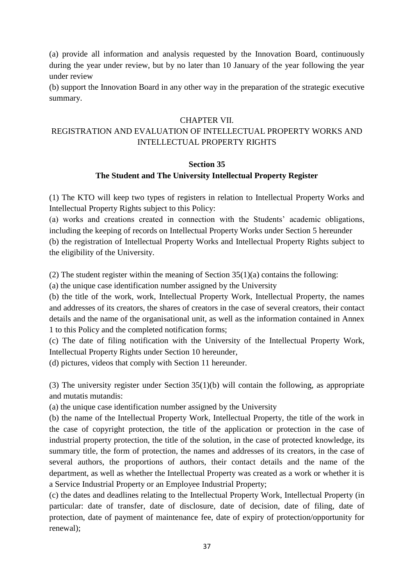(a) provide all information and analysis requested by the Innovation Board, continuously during the year under review, but by no later than 10 January of the year following the year under review

(b) support the Innovation Board in any other way in the preparation of the strategic executive summary.

#### CHAPTER VII.

## REGISTRATION AND EVALUATION OF INTELLECTUAL PROPERTY WORKS AND INTELLECTUAL PROPERTY RIGHTS

#### **Section 35**

## **The Student and The University Intellectual Property Register**

(1) The KTO will keep two types of registers in relation to Intellectual Property Works and Intellectual Property Rights subject to this Policy:

(a) works and creations created in connection with the Students' academic obligations, including the keeping of records on Intellectual Property Works under Section 5 hereunder (b) the registration of Intellectual Property Works and Intellectual Property Rights subject to the eligibility of the University.

(2) The student register within the meaning of Section  $35(1)(a)$  contains the following:

(a) the unique case identification number assigned by the University

(b) the title of the work, work, Intellectual Property Work, Intellectual Property, the names and addresses of its creators, the shares of creators in the case of several creators, their contact details and the name of the organisational unit, as well as the information contained in Annex 1 to this Policy and the completed notification forms;

(c) The date of filing notification with the University of the Intellectual Property Work, Intellectual Property Rights under Section 10 hereunder,

(d) pictures, videos that comply with Section 11 hereunder.

(3) The university register under Section 35(1)(b) will contain the following, as appropriate and mutatis mutandis:

(a) the unique case identification number assigned by the University

(b) the name of the Intellectual Property Work, Intellectual Property, the title of the work in the case of copyright protection, the title of the application or protection in the case of industrial property protection, the title of the solution, in the case of protected knowledge, its summary title, the form of protection, the names and addresses of its creators, in the case of several authors, the proportions of authors, their contact details and the name of the department, as well as whether the Intellectual Property was created as a work or whether it is a Service Industrial Property or an Employee Industrial Property;

(c) the dates and deadlines relating to the Intellectual Property Work, Intellectual Property (in particular: date of transfer, date of disclosure, date of decision, date of filing, date of protection, date of payment of maintenance fee, date of expiry of protection/opportunity for renewal);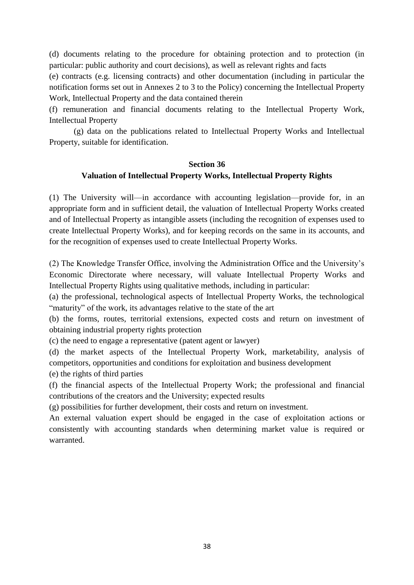(d) documents relating to the procedure for obtaining protection and to protection (in particular: public authority and court decisions), as well as relevant rights and facts

(e) contracts (e.g. licensing contracts) and other documentation (including in particular the notification forms set out in Annexes 2 to 3 to the Policy) concerning the Intellectual Property Work, Intellectual Property and the data contained therein

(f) remuneration and financial documents relating to the Intellectual Property Work, Intellectual Property

(g) data on the publications related to Intellectual Property Works and Intellectual Property, suitable for identification.

#### **Section 36**

#### **Valuation of Intellectual Property Works, Intellectual Property Rights**

(1) The University will—in accordance with accounting legislation—provide for, in an appropriate form and in sufficient detail, the valuation of Intellectual Property Works created and of Intellectual Property as intangible assets (including the recognition of expenses used to create Intellectual Property Works), and for keeping records on the same in its accounts, and for the recognition of expenses used to create Intellectual Property Works.

(2) The Knowledge Transfer Office, involving the Administration Office and the University's Economic Directorate where necessary, will valuate Intellectual Property Works and Intellectual Property Rights using qualitative methods, including in particular:

(a) the professional, technological aspects of Intellectual Property Works, the technological "maturity" of the work, its advantages relative to the state of the art

(b) the forms, routes, territorial extensions, expected costs and return on investment of obtaining industrial property rights protection

(c) the need to engage a representative (patent agent or lawyer)

(d) the market aspects of the Intellectual Property Work, marketability, analysis of competitors, opportunities and conditions for exploitation and business development (e) the rights of third parties

(f) the financial aspects of the Intellectual Property Work; the professional and financial contributions of the creators and the University; expected results

(g) possibilities for further development, their costs and return on investment.

An external valuation expert should be engaged in the case of exploitation actions or consistently with accounting standards when determining market value is required or warranted.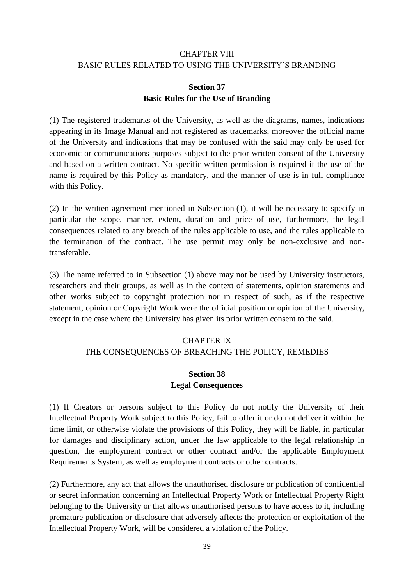## CHAPTER VIII BASIC RULES RELATED TO USING THE UNIVERSITY'S BRANDING

#### **Section 37 Basic Rules for the Use of Branding**

(1) The registered trademarks of the University, as well as the diagrams, names, indications appearing in its Image Manual and not registered as trademarks, moreover the official name of the University and indications that may be confused with the said may only be used for economic or communications purposes subject to the prior written consent of the University and based on a written contract. No specific written permission is required if the use of the name is required by this Policy as mandatory, and the manner of use is in full compliance with this Policy.

(2) In the written agreement mentioned in Subsection (1), it will be necessary to specify in particular the scope, manner, extent, duration and price of use, furthermore, the legal consequences related to any breach of the rules applicable to use, and the rules applicable to the termination of the contract. The use permit may only be non-exclusive and nontransferable.

(3) The name referred to in Subsection (1) above may not be used by University instructors, researchers and their groups, as well as in the context of statements, opinion statements and other works subject to copyright protection nor in respect of such, as if the respective statement, opinion or Copyright Work were the official position or opinion of the University, except in the case where the University has given its prior written consent to the said.

#### CHAPTER IX THE CONSEQUENCES OF BREACHING THE POLICY, REMEDIES

## **Section 38 Legal Consequences**

(1) If Creators or persons subject to this Policy do not notify the University of their Intellectual Property Work subject to this Policy, fail to offer it or do not deliver it within the time limit, or otherwise violate the provisions of this Policy, they will be liable, in particular for damages and disciplinary action, under the law applicable to the legal relationship in question, the employment contract or other contract and/or the applicable Employment Requirements System, as well as employment contracts or other contracts.

(2) Furthermore, any act that allows the unauthorised disclosure or publication of confidential or secret information concerning an Intellectual Property Work or Intellectual Property Right belonging to the University or that allows unauthorised persons to have access to it, including premature publication or disclosure that adversely affects the protection or exploitation of the Intellectual Property Work, will be considered a violation of the Policy.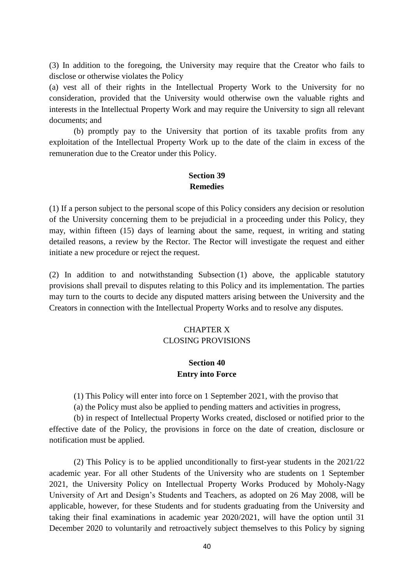(3) In addition to the foregoing, the University may require that the Creator who fails to disclose or otherwise violates the Policy

(a) vest all of their rights in the Intellectual Property Work to the University for no consideration, provided that the University would otherwise own the valuable rights and interests in the Intellectual Property Work and may require the University to sign all relevant documents; and

(b) promptly pay to the University that portion of its taxable profits from any exploitation of the Intellectual Property Work up to the date of the claim in excess of the remuneration due to the Creator under this Policy.

#### **Section 39 Remedies**

(1) If a person subject to the personal scope of this Policy considers any decision or resolution of the University concerning them to be prejudicial in a proceeding under this Policy, they may, within fifteen (15) days of learning about the same, request, in writing and stating detailed reasons, a review by the Rector. The Rector will investigate the request and either initiate a new procedure or reject the request.

(2) In addition to and notwithstanding Subsection (1) above, the applicable statutory provisions shall prevail to disputes relating to this Policy and its implementation. The parties may turn to the courts to decide any disputed matters arising between the University and the Creators in connection with the Intellectual Property Works and to resolve any disputes.

#### CHAPTER X CLOSING PROVISIONS

#### **Section 40 Entry into Force**

(1) This Policy will enter into force on 1 September 2021, with the proviso that

(a) the Policy must also be applied to pending matters and activities in progress,

(b) in respect of Intellectual Property Works created, disclosed or notified prior to the effective date of the Policy, the provisions in force on the date of creation, disclosure or notification must be applied.

(2) This Policy is to be applied unconditionally to first-year students in the 2021/22 academic year. For all other Students of the University who are students on 1 September 2021, the University Policy on Intellectual Property Works Produced by Moholy-Nagy University of Art and Design's Students and Teachers, as adopted on 26 May 2008, will be applicable, however, for these Students and for students graduating from the University and taking their final examinations in academic year 2020/2021, will have the option until 31 December 2020 to voluntarily and retroactively subject themselves to this Policy by signing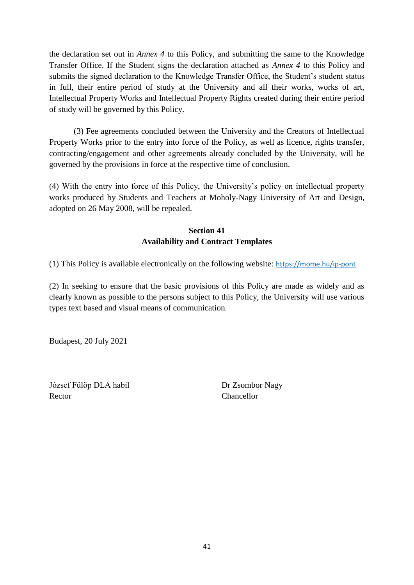the declaration set out in *Annex 4* to this Policy, and submitting the same to the Knowledge Transfer Office. If the Student signs the declaration attached as *Annex 4* to this Policy and submits the signed declaration to the Knowledge Transfer Office, the Student's student status in full, their entire period of study at the University and all their works, works of art, Intellectual Property Works and Intellectual Property Rights created during their entire period of study will be governed by this Policy.

(3) Fee agreements concluded between the University and the Creators of Intellectual Property Works prior to the entry into force of the Policy, as well as licence, rights transfer, contracting/engagement and other agreements already concluded by the University, will be governed by the provisions in force at the respective time of conclusion.

(4) With the entry into force of this Policy, the University's policy on intellectual property works produced by Students and Teachers at Moholy-Nagy University of Art and Design, adopted on 26 May 2008, will be repealed.

# **Section 41 Availability and Contract Templates**

(1) This Policy is available electronically on the following website: <https://mome.hu/ip-pont>

(2) In seeking to ensure that the basic provisions of this Policy are made as widely and as clearly known as possible to the persons subject to this Policy, the University will use various types text based and visual means of communication.

Budapest, 20 July 2021

József Fülöp DLA habil Dr Zsombor Nagy Rector Chancellor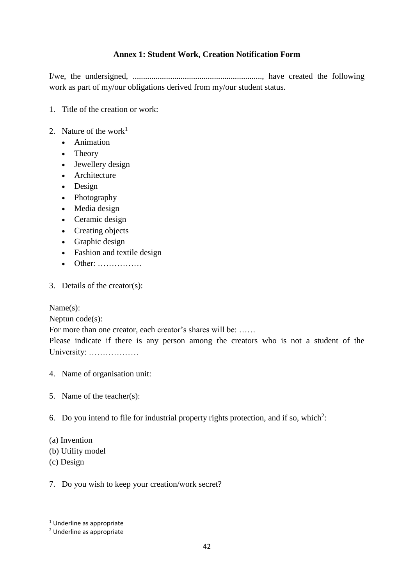## **Annex 1: Student Work, Creation Notification Form**

I/we, the undersigned, .............................................................., have created the following work as part of my/our obligations derived from my/our student status.

- 1. Title of the creation or work:
- 2. Nature of the work<sup>1</sup>
	- [Animation](https://mome.hu/terulet/animacio)
	- [Theory](https://mome.hu/terulet/elmelet)
	- [Jewellery design](https://mome.hu/hu/terulet/targyalkotas)
	- [Architecture](https://mome.hu/terulet/epiteszet)
	- [Design](https://mome.hu/terulet/formatervezes)
	- [Photography](https://mome.hu/terulet/fotografia)
	- [Media design](https://mome.hu/terulet/media-design)
	- [Ceramic design](https://mome.hu/hu/terulet/targyalkotas)
	- [Creating objects](https://mome.hu/terulet/targyalkotas)
	- [Graphic design](https://mome.hu/terulet/tervezografika)
	- [Fashion and textile design](https://mome.hu/terulet/textiltervezes)
	- Other: …………….
- 3. Details of the creator(s):

Name(s):

Neptun code(s):

For more than one creator, each creator's shares will be: ……

Please indicate if there is any person among the creators who is not a student of the University: ………………

- 4. Name of organisation unit:
- 5. Name of the teacher(s):
- 6. Do you intend to file for industrial property rights protection, and if so, which<sup>2</sup>:
- (a) Invention
- (b) Utility model
- (c) Design

1

7. Do you wish to keep your creation/work secret?

<sup>&</sup>lt;sup>1</sup> Underline as appropriate

<sup>2</sup> Underline as appropriate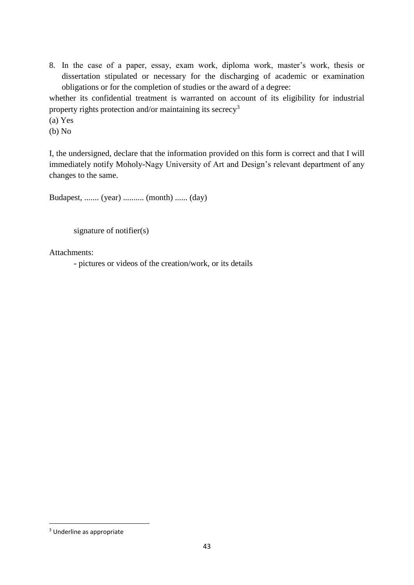8. In the case of a paper, essay, exam work, diploma work, master's work, thesis or dissertation stipulated or necessary for the discharging of academic or examination obligations or for the completion of studies or the award of a degree:

whether its confidential treatment is warranted on account of its eligibility for industrial property rights protection and/or maintaining its secrecy<sup>3</sup>

(a) Yes

(b) No

I, the undersigned, declare that the information provided on this form is correct and that I will immediately notify Moholy-Nagy University of Art and Design's relevant department of any changes to the same.

Budapest, ....... (year) .......... (month) ...... (day)

signature of notifier(s)

Attachments:

- pictures or videos of the creation/work, or its details

**.** 

<sup>3</sup> Underline as appropriate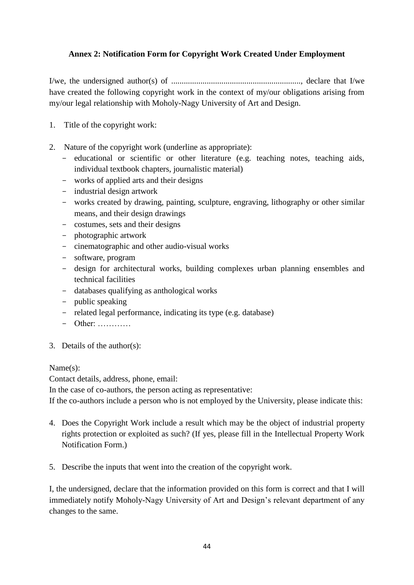## **Annex 2: Notification Form for Copyright Work Created Under Employment**

I/we, the undersigned author(s) of .............................................................., declare that I/we have created the following copyright work in the context of my/our obligations arising from my/our legal relationship with Moholy-Nagy University of Art and Design.

- 1. Title of the copyright work:
- 2. Nature of the copyright work (underline as appropriate):
	- educational or scientific or other literature (e.g. teaching notes, teaching aids, individual textbook chapters, journalistic material)
	- works of applied arts and their designs
	- industrial design artwork
	- works created by drawing, painting, sculpture, engraving, lithography or other similar means, and their design drawings
	- costumes, sets and their designs
	- photographic artwork
	- cinematographic and other audio-visual works
	- software, program
	- design for architectural works, building complexes urban planning ensembles and technical facilities
	- databases qualifying as anthological works
	- public speaking
	- related legal performance, indicating its type (e.g. database)
	- Other: …………
- 3. Details of the author(s):

#### Name(s):

Contact details, address, phone, email:

In the case of co-authors, the person acting as representative:

If the co-authors include a person who is not employed by the University, please indicate this:

- 4. Does the Copyright Work include a result which may be the object of industrial property rights protection or exploited as such? (If yes, please fill in the Intellectual Property Work Notification Form.)
- 5. Describe the inputs that went into the creation of the copyright work.

I, the undersigned, declare that the information provided on this form is correct and that I will immediately notify Moholy-Nagy University of Art and Design's relevant department of any changes to the same.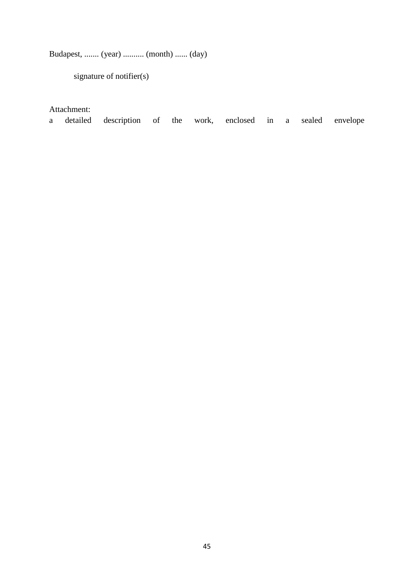Budapest, ....... (year) .......... (month) ...... (day)

signature of notifier(s)

## Attachment:

a detailed description of the work, enclosed in a sealed envelope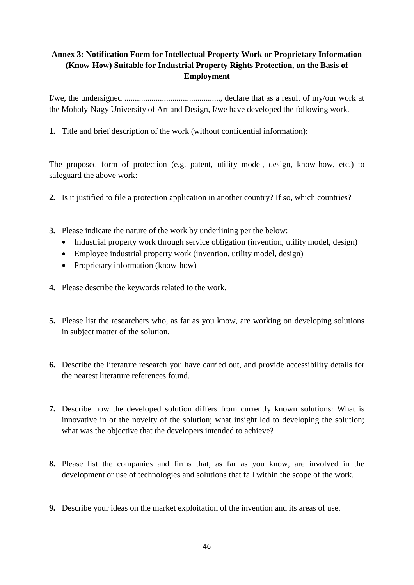# **Annex 3: Notification Form for Intellectual Property Work or Proprietary Information (Know-How) Suitable for Industrial Property Rights Protection, on the Basis of Employment**

I/we, the undersigned .............................................., declare that as a result of my/our work at the Moholy-Nagy University of Art and Design, I/we have developed the following work.

**1.** Title and brief description of the work (without confidential information):

The proposed form of protection (e.g. patent, utility model, design, know-how, etc.) to safeguard the above work:

- **2.** Is it justified to file a protection application in another country? If so, which countries?
- **3.** Please indicate the nature of the work by underlining per the below:
	- Industrial property work through service obligation (invention, utility model, design)
	- Employee industrial property work (invention, utility model, design)
	- Proprietary information (know-how)
- **4.** Please describe the keywords related to the work.
- **5.** Please list the researchers who, as far as you know, are working on developing solutions in subject matter of the solution.
- **6.** Describe the literature research you have carried out, and provide accessibility details for the nearest literature references found.
- **7.** Describe how the developed solution differs from currently known solutions: What is innovative in or the novelty of the solution; what insight led to developing the solution; what was the objective that the developers intended to achieve?
- **8.** Please list the companies and firms that, as far as you know, are involved in the development or use of technologies and solutions that fall within the scope of the work.
- **9.** Describe your ideas on the market exploitation of the invention and its areas of use.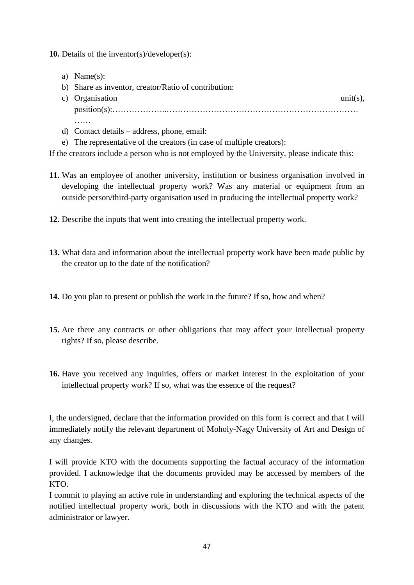**10.** Details of the inventor(s)/developer(s):

- a) Name(s):
- b) Share as inventor, creator/Ratio of contribution:
- c) Organisation unit(s), position(s):………………..……………………………………………………………  $\mathbf{L}$
- d) Contact details address, phone, email:
- e) The representative of the creators (in case of multiple creators):

If the creators include a person who is not employed by the University, please indicate this:

- **11.** Was an employee of another university, institution or business organisation involved in developing the intellectual property work? Was any material or equipment from an outside person/third-party organisation used in producing the intellectual property work?
- **12.** Describe the inputs that went into creating the intellectual property work.
- **13.** What data and information about the intellectual property work have been made public by the creator up to the date of the notification?
- **14.** Do you plan to present or publish the work in the future? If so, how and when?
- **15.** Are there any contracts or other obligations that may affect your intellectual property rights? If so, please describe.
- **16.** Have you received any inquiries, offers or market interest in the exploitation of your intellectual property work? If so, what was the essence of the request?

I, the undersigned, declare that the information provided on this form is correct and that I will immediately notify the relevant department of Moholy-Nagy University of Art and Design of any changes.

I will provide KTO with the documents supporting the factual accuracy of the information provided. I acknowledge that the documents provided may be accessed by members of the KTO.

I commit to playing an active role in understanding and exploring the technical aspects of the notified intellectual property work, both in discussions with the KTO and with the patent administrator or lawyer.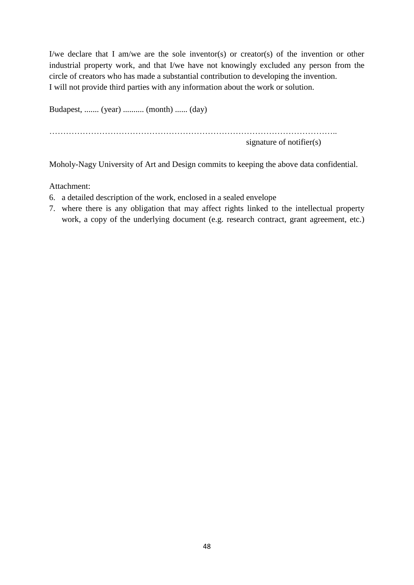I/we declare that I am/we are the sole inventor(s) or creator(s) of the invention or other industrial property work, and that I/we have not knowingly excluded any person from the circle of creators who has made a substantial contribution to developing the invention. I will not provide third parties with any information about the work or solution.

Budapest, ....... (year) .......... (month) ...... (day) ………………………………………………………………………………………….. signature of notifier(s)

Moholy-Nagy University of Art and Design commits to keeping the above data confidential.

Attachment:

- 6. a detailed description of the work, enclosed in a sealed envelope
- 7. where there is any obligation that may affect rights linked to the intellectual property work, a copy of the underlying document (e.g. research contract, grant agreement, etc.)